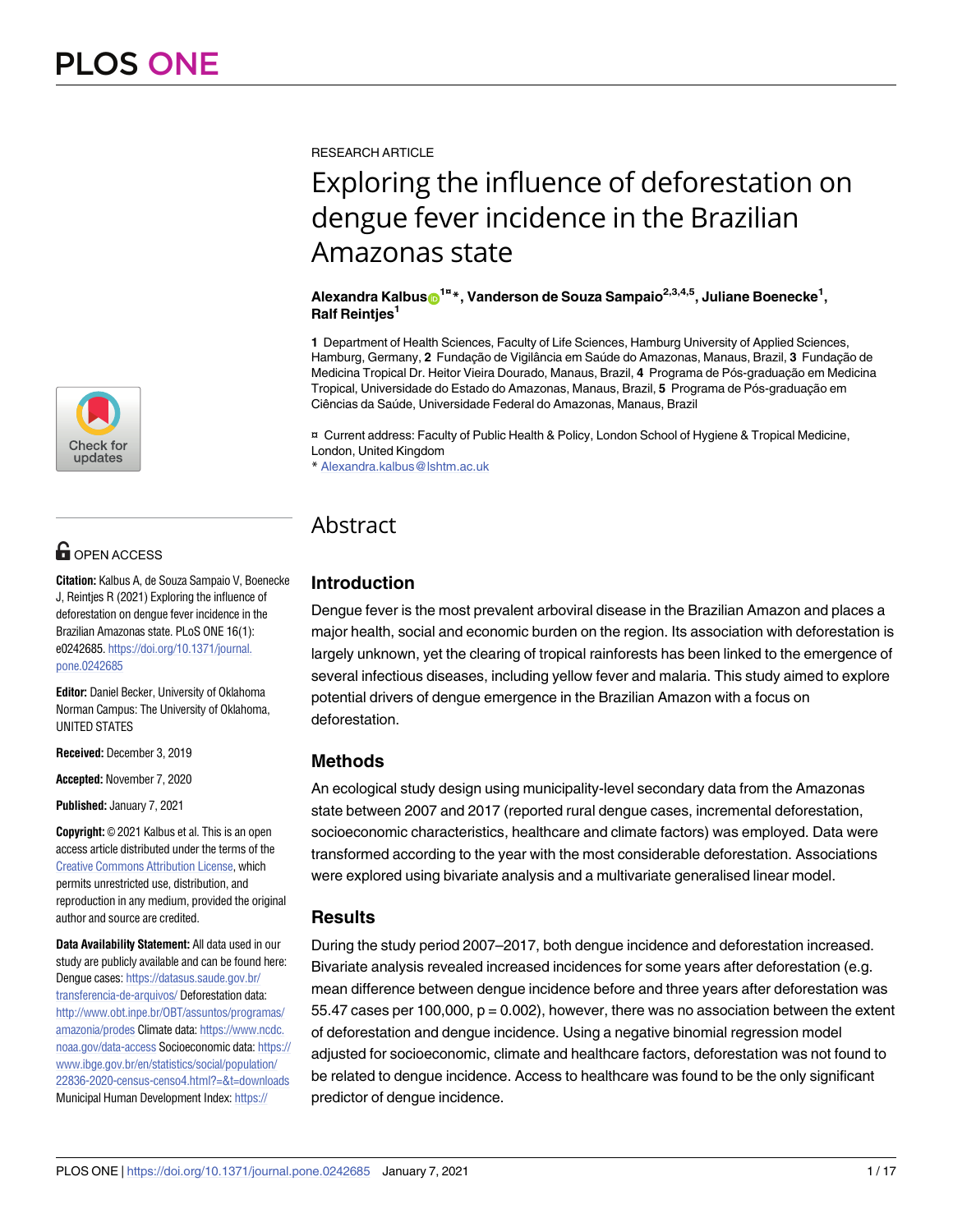

# **G** OPEN ACCESS

**Citation:** Kalbus A, de Souza Sampaio V, Boenecke J, Reintjes R (2021) Exploring the influence of deforestation on dengue fever incidence in the Brazilian Amazonas state. PLoS ONE 16(1): e0242685. [https://doi.org/10.1371/journal.](https://doi.org/10.1371/journal.pone.0242685) [pone.0242685](https://doi.org/10.1371/journal.pone.0242685)

**Editor:** Daniel Becker, University of Oklahoma Norman Campus: The University of Oklahoma, UNITED STATES

**Received:** December 3, 2019

**Accepted:** November 7, 2020

**Published:** January 7, 2021

**Copyright:** © 2021 Kalbus et al. This is an open access article distributed under the terms of the Creative Commons [Attribution](http://creativecommons.org/licenses/by/4.0/) License, which permits unrestricted use, distribution, and reproduction in any medium, provided the original author and source are credited.

**Data Availability Statement:** All data used in our study are publicly available and can be found here: Dengue cases: [https://datasus.saude.gov.br/](https://datasus.saude.gov.br/transferencia-de-arquivos/) [transferencia-de-arquivos/](https://datasus.saude.gov.br/transferencia-de-arquivos/) Deforestation data: [http://www.obt.inpe.br/OBT/assuntos/programas/](http://www.obt.inpe.br/OBT/assuntos/programas/amazonia/prodes) [amazonia/prodes](http://www.obt.inpe.br/OBT/assuntos/programas/amazonia/prodes) Climate data: [https://www.ncdc.](https://www.ncdc.noaa.gov/data-access) [noaa.gov/data-access](https://www.ncdc.noaa.gov/data-access) Socioeconomic data: [https://](https://www.ibge.gov.br/en/statistics/social/population/22836-2020-census-censo4.html?=&t=downloads) [www.ibge.gov.br/en/statistics/social/population/](https://www.ibge.gov.br/en/statistics/social/population/22836-2020-census-censo4.html?=&t=downloads) [22836-2020-census-censo4.html?=&t=downloads](https://www.ibge.gov.br/en/statistics/social/population/22836-2020-census-censo4.html?=&t=downloads) Municipal Human Development Index: [https://](https://atlasbrasil.org.br)

RESEARCH ARTICLE

# Exploring the influence of deforestation on dengue fever incidence in the Brazilian Amazonas state

#### $\mathbf{A}$ lexandra Kalbus $\mathbf{O}^{1\mathbf{a}}$ \*, Vanderson de Souza Sampaio<sup>2,3,4,5</sup>, Juliane Boenecke<sup>1</sup>, **Ralf Reintjes1**

**1** Department of Health Sciences, Faculty of Life Sciences, Hamburg University of Applied Sciences, Hamburg, Germany, 2 Fundacão de Vigilância em Saúde do Amazonas, Manaus, Brazil, 3 Fundacão de Medicina Tropical Dr. Heitor Vieira Dourado, Manaus, Brazil, 4 Programa de Pós-graduação em Medicina Tropical, Universidade do Estado do Amazonas, Manaus, Brazil, 5 Programa de Pós-graduação em Ciências da Saúde, Universidade Federal do Amazonas, Manaus, Brazil

¤ Current address: Faculty of Public Health & Policy, London School of Hygiene & Tropical Medicine, London, United Kingdom

\* Alexandra.kalbus@lshtm.ac.uk

# Abstract

## **Introduction**

Dengue fever is the most prevalent arboviral disease in the Brazilian Amazon and places a major health, social and economic burden on the region. Its association with deforestation is largely unknown, yet the clearing of tropical rainforests has been linked to the emergence of several infectious diseases, including yellow fever and malaria. This study aimed to explore potential drivers of dengue emergence in the Brazilian Amazon with a focus on deforestation.

## **Methods**

An ecological study design using municipality-level secondary data from the Amazonas state between 2007 and 2017 (reported rural dengue cases, incremental deforestation, socioeconomic characteristics, healthcare and climate factors) was employed. Data were transformed according to the year with the most considerable deforestation. Associations were explored using bivariate analysis and a multivariate generalised linear model.

#### **Results**

During the study period 2007–2017, both dengue incidence and deforestation increased. Bivariate analysis revealed increased incidences for some years after deforestation (e.g. mean difference between dengue incidence before and three years after deforestation was 55.47 cases per 100,000,  $p = 0.002$ ), however, there was no association between the extent of deforestation and dengue incidence. Using a negative binomial regression model adjusted for socioeconomic, climate and healthcare factors, deforestation was not found to be related to dengue incidence. Access to healthcare was found to be the only significant predictor of dengue incidence.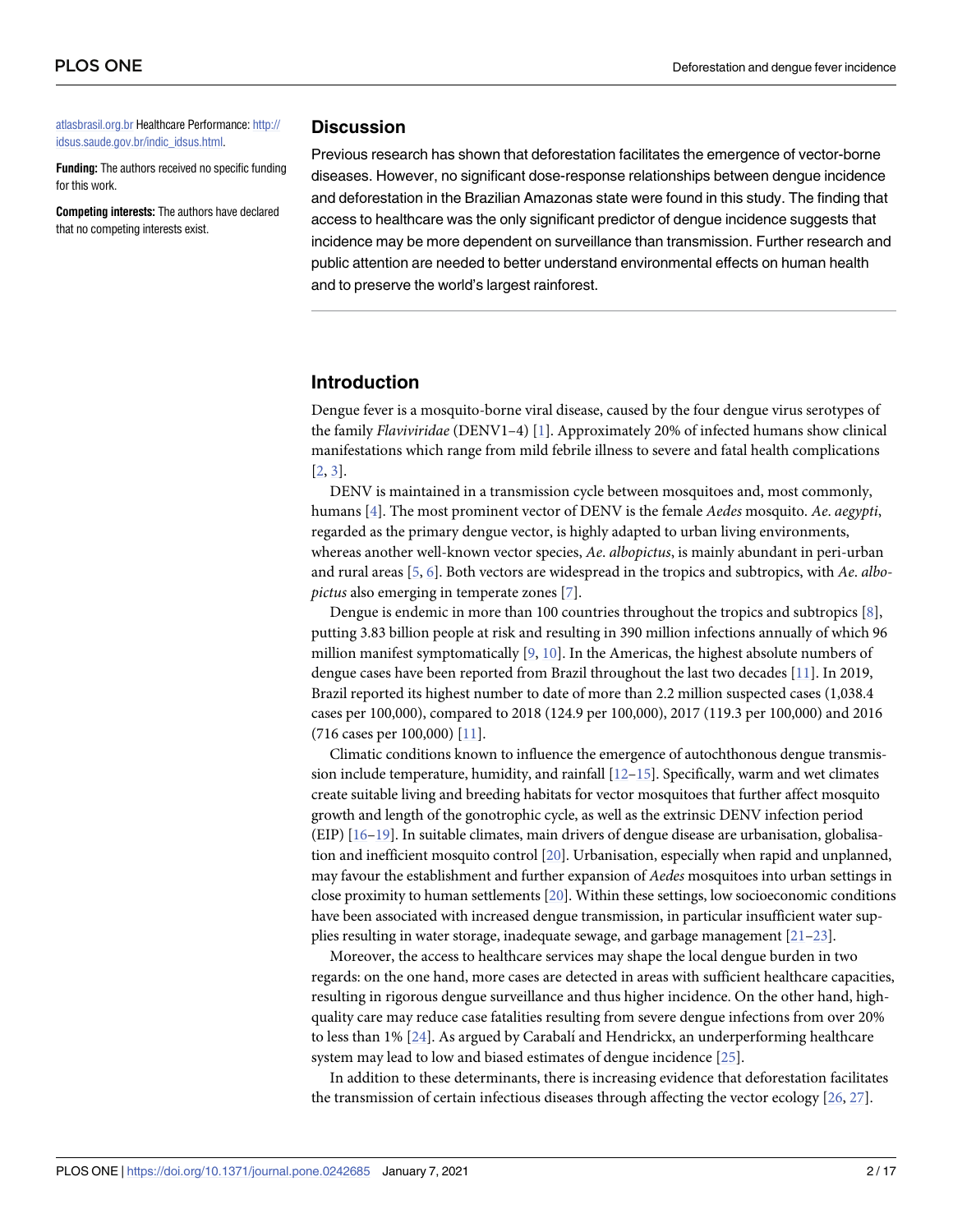<span id="page-1-0"></span>[atlasbrasil.org.br](https://atlasbrasil.org.br) Healthcare Performance: [http://](http://idsus.saude.gov.br/indic_idsus.html) [idsus.saude.gov.br/indic\\_idsus.html](http://idsus.saude.gov.br/indic_idsus.html).

**Funding:** The authors received no specific funding for this work.

**Competing interests:** The authors have declared that no competing interests exist.

#### **Discussion**

Previous research has shown that deforestation facilitates the emergence of vector-borne diseases. However, no significant dose-response relationships between dengue incidence and deforestation in the Brazilian Amazonas state were found in this study. The finding that access to healthcare was the only significant predictor of dengue incidence suggests that incidence may be more dependent on surveillance than transmission. Further research and public attention are needed to better understand environmental effects on human health and to preserve the world's largest rainforest.

#### **Introduction**

Dengue fever is a mosquito-borne viral disease, caused by the four dengue virus serotypes of the family *Flaviviridae* (DENV1–4) [[1](#page-12-0)]. Approximately 20% of infected humans show clinical manifestations which range from mild febrile illness to severe and fatal health complications [\[2](#page-12-0), [3](#page-12-0)].

DENV is maintained in a transmission cycle between mosquitoes and, most commonly, humans [[4\]](#page-12-0). The most prominent vector of DENV is the female *Aedes* mosquito. *Ae*. *aegypti*, regarded as the primary dengue vector, is highly adapted to urban living environments, whereas another well-known vector species, *Ae*. *albopictus*, is mainly abundant in peri-urban and rural areas [[5,](#page-12-0) [6\]](#page-12-0). Both vectors are widespread in the tropics and subtropics, with *Ae*. *albopictus* also emerging in temperate zones [[7](#page-12-0)].

Dengue is endemic in more than 100 countries throughout the tropics and subtropics [[8\]](#page-12-0), putting 3.83 billion people at risk and resulting in 390 million infections annually of which 96 million manifest symptomatically [\[9,](#page-12-0) [10\]](#page-12-0). In the Americas, the highest absolute numbers of dengue cases have been reported from Brazil throughout the last two decades [\[11\]](#page-12-0). In 2019, Brazil reported its highest number to date of more than 2.2 million suspected cases (1,038.4 cases per 100,000), compared to 2018 (124.9 per 100,000), 2017 (119.3 per 100,000) and 2016 (716 cases per 100,000) [\[11\]](#page-12-0).

Climatic conditions known to influence the emergence of autochthonous dengue transmission include temperature, humidity, and rainfall [\[12–15](#page-13-0)]. Specifically, warm and wet climates create suitable living and breeding habitats for vector mosquitoes that further affect mosquito growth and length of the gonotrophic cycle, as well as the extrinsic DENV infection period (EIP) [[16–19\]](#page-13-0). In suitable climates, main drivers of dengue disease are urbanisation, globalisation and inefficient mosquito control [\[20](#page-13-0)]. Urbanisation, especially when rapid and unplanned, may favour the establishment and further expansion of *Aedes* mosquitoes into urban settings in close proximity to human settlements [[20](#page-13-0)]. Within these settings, low socioeconomic conditions have been associated with increased dengue transmission, in particular insufficient water supplies resulting in water storage, inadequate sewage, and garbage management [\[21](#page-13-0)–[23\]](#page-13-0).

Moreover, the access to healthcare services may shape the local dengue burden in two regards: on the one hand, more cases are detected in areas with sufficient healthcare capacities, resulting in rigorous dengue surveillance and thus higher incidence. On the other hand, highquality care may reduce case fatalities resulting from severe dengue infections from over 20% to less than 1% [[24](#page-13-0)]. As argued by Carabalí and Hendrickx, an underperforming healthcare system may lead to low and biased estimates of dengue incidence [\[25\]](#page-13-0).

In addition to these determinants, there is increasing evidence that deforestation facilitates the transmission of certain infectious diseases through affecting the vector ecology [\[26,](#page-13-0) [27](#page-13-0)].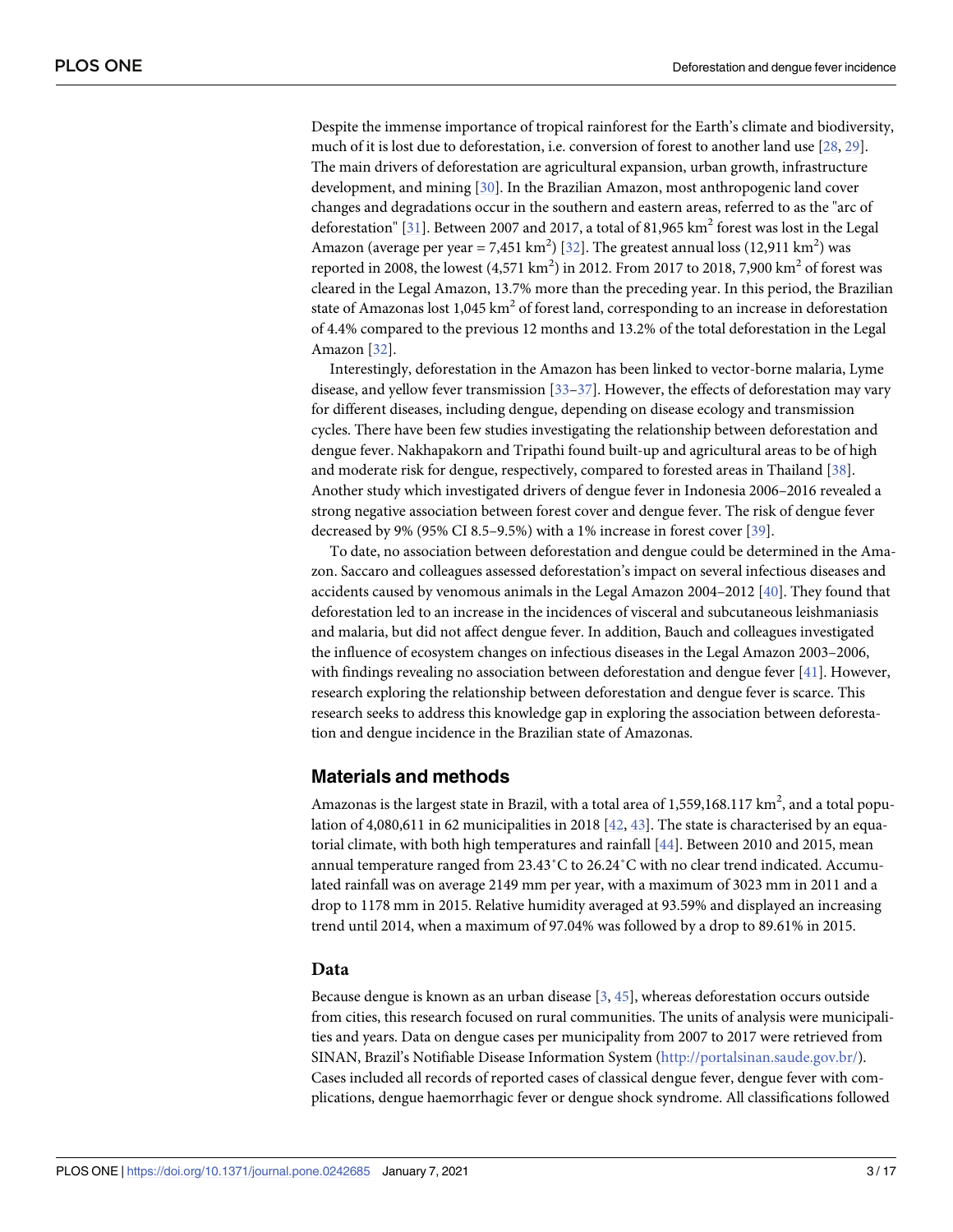<span id="page-2-0"></span>Despite the immense importance of tropical rainforest for the Earth's climate and biodiversity, much of it is lost due to deforestation, i.e. conversion of forest to another land use [\[28,](#page-13-0) [29\]](#page-13-0). The main drivers of deforestation are agricultural expansion, urban growth, infrastructure development, and mining [\[30\]](#page-13-0). In the Brazilian Amazon, most anthropogenic land cover changes and degradations occur in the southern and eastern areas, referred to as the "arc of deforestation" [\[31\]](#page-13-0). Between 2007 and 2017, a total of 81,965 km<sup>2</sup> forest was lost in the Legal Amazon (average per year = 7,451 km<sup>2</sup>) [\[32\]](#page-13-0). The greatest annual loss (12,911 km<sup>2</sup>) was reported in 2008, the lowest  $(4,571 \text{ km}^2)$  in 2012. From 2017 to 2018, 7,900 km<sup>2</sup> of forest was cleared in the Legal Amazon, 13.7% more than the preceding year. In this period, the Brazilian state of Amazonas lost  $1,045 \text{ km}^2$  of forest land, corresponding to an increase in deforestation of 4.4% compared to the previous 12 months and 13.2% of the total deforestation in the Legal Amazon [[32](#page-13-0)].

Interestingly, deforestation in the Amazon has been linked to vector-borne malaria, Lyme disease, and yellow fever transmission [\[33–37\]](#page-14-0). However, the effects of deforestation may vary for different diseases, including dengue, depending on disease ecology and transmission cycles. There have been few studies investigating the relationship between deforestation and dengue fever. Nakhapakorn and Tripathi found built-up and agricultural areas to be of high and moderate risk for dengue, respectively, compared to forested areas in Thailand [[38](#page-14-0)]. Another study which investigated drivers of dengue fever in Indonesia 2006–2016 revealed a strong negative association between forest cover and dengue fever. The risk of dengue fever decreased by 9% (95% CI 8.5–9.5%) with a 1% increase in forest cover [[39](#page-14-0)].

To date, no association between deforestation and dengue could be determined in the Amazon. Saccaro and colleagues assessed deforestation's impact on several infectious diseases and accidents caused by venomous animals in the Legal Amazon 2004–2012 [[40](#page-14-0)]. They found that deforestation led to an increase in the incidences of visceral and subcutaneous leishmaniasis and malaria, but did not affect dengue fever. In addition, Bauch and colleagues investigated the influence of ecosystem changes on infectious diseases in the Legal Amazon 2003–2006, with findings revealing no association between deforestation and dengue fever [\[41\]](#page-14-0). However, research exploring the relationship between deforestation and dengue fever is scarce. This research seeks to address this knowledge gap in exploring the association between deforestation and dengue incidence in the Brazilian state of Amazonas.

#### **Materials and methods**

Amazonas is the largest state in Brazil, with a total area of 1,559,168.117  $\text{km}^2$ , and a total population of 4,080,611 in 62 municipalities in 2018 [\[42,](#page-14-0) [43\]](#page-14-0). The state is characterised by an equatorial climate, with both high temperatures and rainfall [[44](#page-14-0)]. Between 2010 and 2015, mean annual temperature ranged from 23.43˚C to 26.24˚C with no clear trend indicated. Accumulated rainfall was on average 2149 mm per year, with a maximum of 3023 mm in 2011 and a drop to 1178 mm in 2015. Relative humidity averaged at 93.59% and displayed an increasing trend until 2014, when a maximum of 97.04% was followed by a drop to 89.61% in 2015.

#### **Data**

Because dengue is known as an urban disease [[3](#page-12-0), [45](#page-14-0)], whereas deforestation occurs outside from cities, this research focused on rural communities. The units of analysis were municipalities and years. Data on dengue cases per municipality from 2007 to 2017 were retrieved from SINAN, Brazil's Notifiable Disease Information System (<http://portalsinan.saude.gov.br/>). Cases included all records of reported cases of classical dengue fever, dengue fever with complications, dengue haemorrhagic fever or dengue shock syndrome. All classifications followed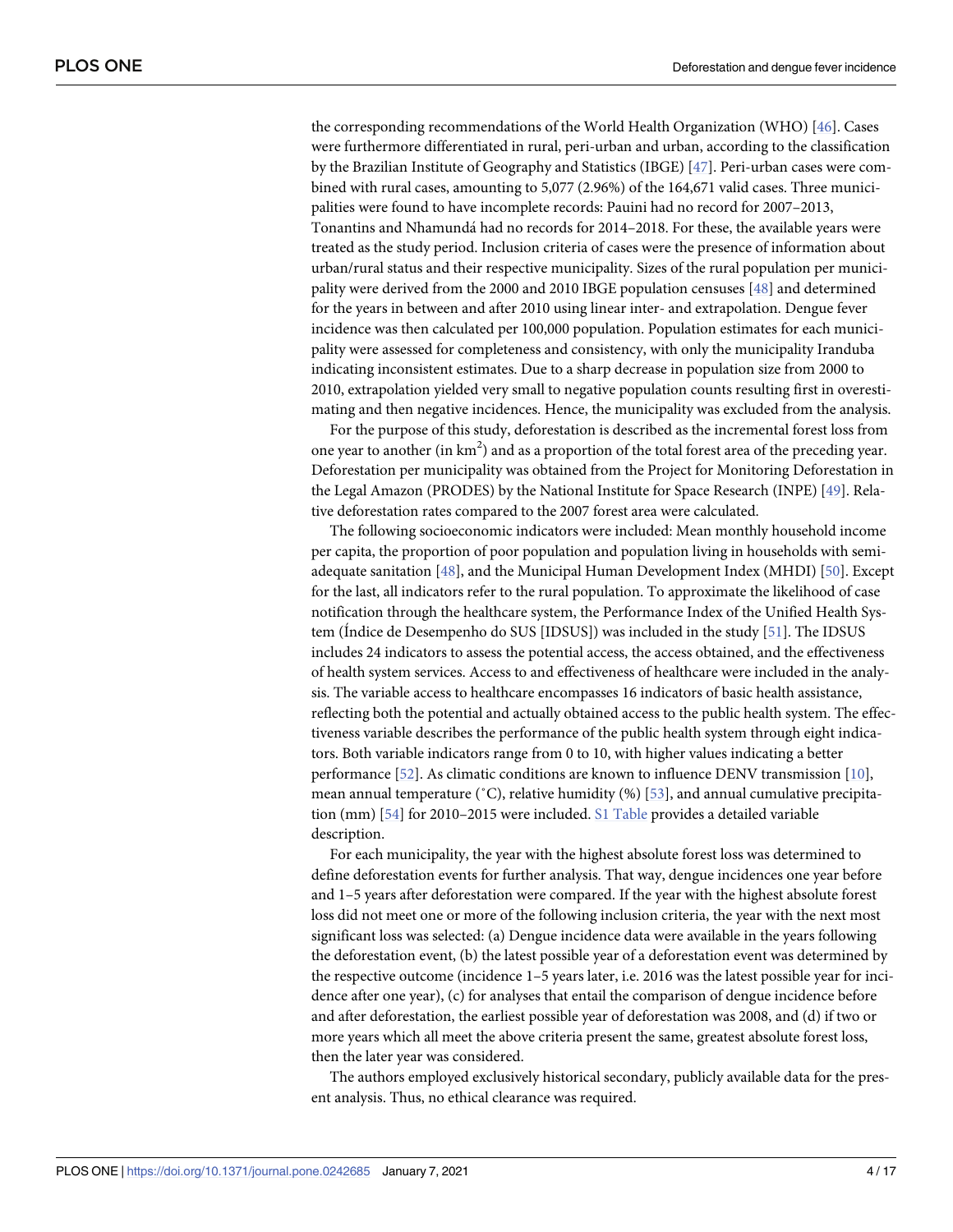<span id="page-3-0"></span>the corresponding recommendations of the World Health Organization (WHO) [\[46\]](#page-14-0). Cases were furthermore differentiated in rural, peri-urban and urban, according to the classification by the Brazilian Institute of Geography and Statistics (IBGE) [\[47\]](#page-14-0). Peri-urban cases were combined with rural cases, amounting to 5,077 (2.96%) of the 164,671 valid cases. Three municipalities were found to have incomplete records: Pauini had no record for 2007–2013, Tonantins and Nhamundá had no records for 2014–2018. For these, the available years were treated as the study period. Inclusion criteria of cases were the presence of information about urban/rural status and their respective municipality. Sizes of the rural population per municipality were derived from the 2000 and 2010 IBGE population censuses [\[48\]](#page-14-0) and determined for the years in between and after 2010 using linear inter- and extrapolation. Dengue fever incidence was then calculated per 100,000 population. Population estimates for each municipality were assessed for completeness and consistency, with only the municipality Iranduba indicating inconsistent estimates. Due to a sharp decrease in population size from 2000 to 2010, extrapolation yielded very small to negative population counts resulting first in overestimating and then negative incidences. Hence, the municipality was excluded from the analysis.

For the purpose of this study, deforestation is described as the incremental forest loss from one year to another (in  $km^2$ ) and as a proportion of the total forest area of the preceding year. Deforestation per municipality was obtained from the Project for Monitoring Deforestation in the Legal Amazon (PRODES) by the National Institute for Space Research (INPE) [[49](#page-14-0)]. Relative deforestation rates compared to the 2007 forest area were calculated.

The following socioeconomic indicators were included: Mean monthly household income per capita, the proportion of poor population and population living in households with semiadequate sanitation [\[48\]](#page-14-0), and the Municipal Human Development Index (MHDI) [\[50\]](#page-14-0). Except for the last, all indicators refer to the rural population. To approximate the likelihood of case notification through the healthcare system, the Performance Index of the Unified Health Sys-tem (Indice de Desempenho do SUS [IDSUS]) was included in the study [\[51\]](#page-14-0). The IDSUS includes 24 indicators to assess the potential access, the access obtained, and the effectiveness of health system services. Access to and effectiveness of healthcare were included in the analysis. The variable access to healthcare encompasses 16 indicators of basic health assistance, reflecting both the potential and actually obtained access to the public health system. The effectiveness variable describes the performance of the public health system through eight indicators. Both variable indicators range from 0 to 10, with higher values indicating a better performance [[52](#page-14-0)]. As climatic conditions are known to influence DENV transmission [\[10\]](#page-12-0), mean annual temperature (˚C), relative humidity (%) [[53](#page-14-0)], and annual cumulative precipitation (mm) [\[54\]](#page-14-0) for 2010–2015 were included. S1 [Table](#page-11-0) provides a detailed variable description.

For each municipality, the year with the highest absolute forest loss was determined to define deforestation events for further analysis. That way, dengue incidences one year before and 1–5 years after deforestation were compared. If the year with the highest absolute forest loss did not meet one or more of the following inclusion criteria, the year with the next most significant loss was selected: (a) Dengue incidence data were available in the years following the deforestation event, (b) the latest possible year of a deforestation event was determined by the respective outcome (incidence 1–5 years later, i.e. 2016 was the latest possible year for incidence after one year), (c) for analyses that entail the comparison of dengue incidence before and after deforestation, the earliest possible year of deforestation was 2008, and (d) if two or more years which all meet the above criteria present the same, greatest absolute forest loss, then the later year was considered.

The authors employed exclusively historical secondary, publicly available data for the present analysis. Thus, no ethical clearance was required.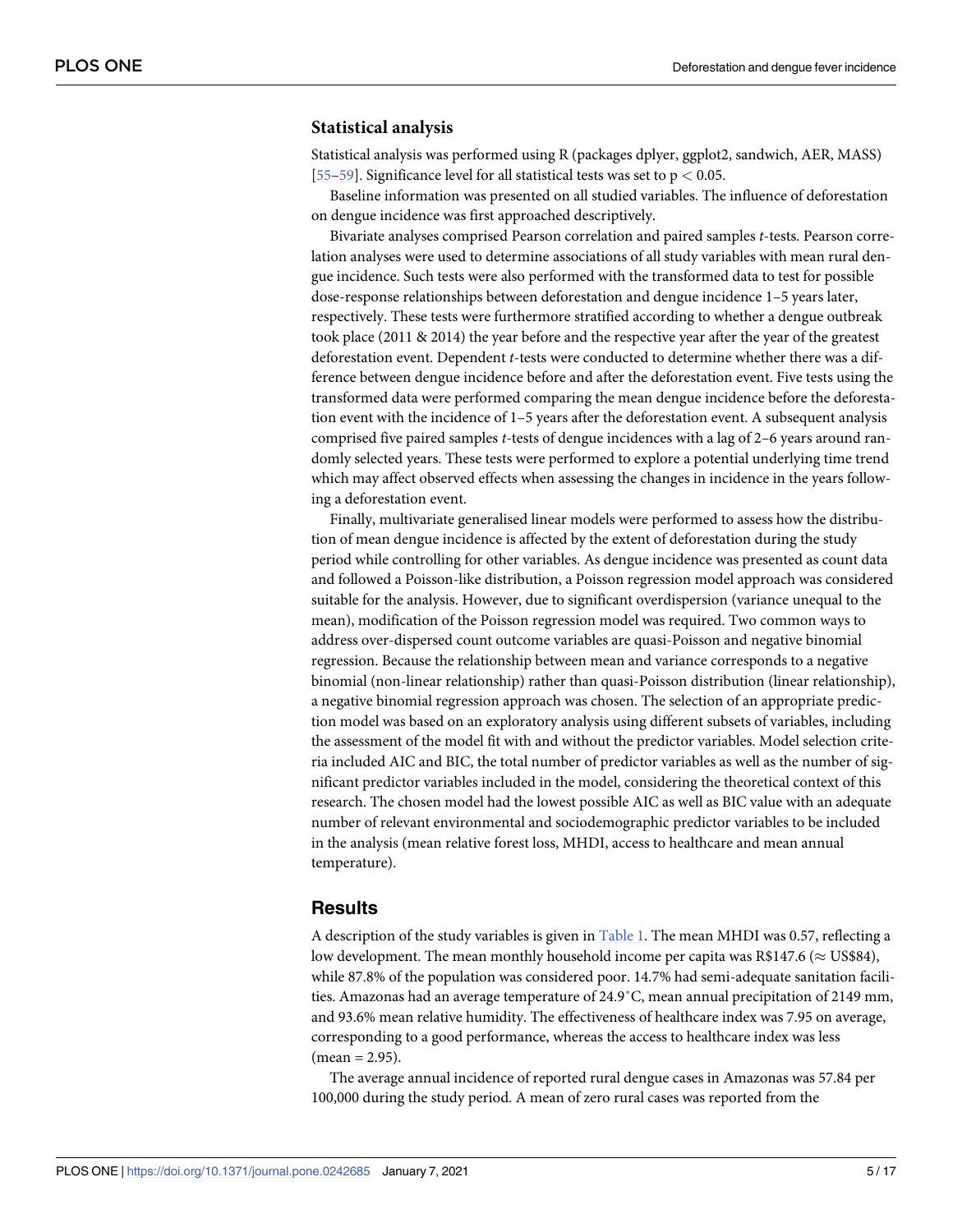#### <span id="page-4-0"></span>**Statistical analysis**

Statistical analysis was performed using R (packages dplyer, ggplot2, sandwich, AER, MASS) [\[55](#page-14-0)[–59\]](#page-15-0). Significance level for all statistical tests was set to p *<* 0.05.

Baseline information was presented on all studied variables. The influence of deforestation on dengue incidence was first approached descriptively.

Bivariate analyses comprised Pearson correlation and paired samples *t*-tests. Pearson correlation analyses were used to determine associations of all study variables with mean rural dengue incidence. Such tests were also performed with the transformed data to test for possible dose-response relationships between deforestation and dengue incidence 1–5 years later, respectively. These tests were furthermore stratified according to whether a dengue outbreak took place (2011 & 2014) the year before and the respective year after the year of the greatest deforestation event. Dependent *t*-tests were conducted to determine whether there was a difference between dengue incidence before and after the deforestation event. Five tests using the transformed data were performed comparing the mean dengue incidence before the deforestation event with the incidence of 1–5 years after the deforestation event. A subsequent analysis comprised five paired samples *t*-tests of dengue incidences with a lag of 2–6 years around randomly selected years. These tests were performed to explore a potential underlying time trend which may affect observed effects when assessing the changes in incidence in the years following a deforestation event.

Finally, multivariate generalised linear models were performed to assess how the distribution of mean dengue incidence is affected by the extent of deforestation during the study period while controlling for other variables. As dengue incidence was presented as count data and followed a Poisson-like distribution, a Poisson regression model approach was considered suitable for the analysis. However, due to significant overdispersion (variance unequal to the mean), modification of the Poisson regression model was required. Two common ways to address over-dispersed count outcome variables are quasi-Poisson and negative binomial regression. Because the relationship between mean and variance corresponds to a negative binomial (non-linear relationship) rather than quasi-Poisson distribution (linear relationship), a negative binomial regression approach was chosen. The selection of an appropriate prediction model was based on an exploratory analysis using different subsets of variables, including the assessment of the model fit with and without the predictor variables. Model selection criteria included AIC and BIC, the total number of predictor variables as well as the number of significant predictor variables included in the model, considering the theoretical context of this research. The chosen model had the lowest possible AIC as well as BIC value with an adequate number of relevant environmental and sociodemographic predictor variables to be included in the analysis (mean relative forest loss, MHDI, access to healthcare and mean annual temperature).

#### **Results**

A description of the study variables is given in [Table](#page-5-0) 1. The mean MHDI was 0.57, reflecting a low development. The mean monthly household income per capita was R\$147.6 ( $\approx$  US\$84), while 87.8% of the population was considered poor. 14.7% had semi-adequate sanitation facilities. Amazonas had an average temperature of 24.9˚C, mean annual precipitation of 2149 mm, and 93.6% mean relative humidity. The effectiveness of healthcare index was 7.95 on average, corresponding to a good performance, whereas the access to healthcare index was less  $(mean = 2.95)$ .

The average annual incidence of reported rural dengue cases in Amazonas was 57.84 per 100,000 during the study period. A mean of zero rural cases was reported from the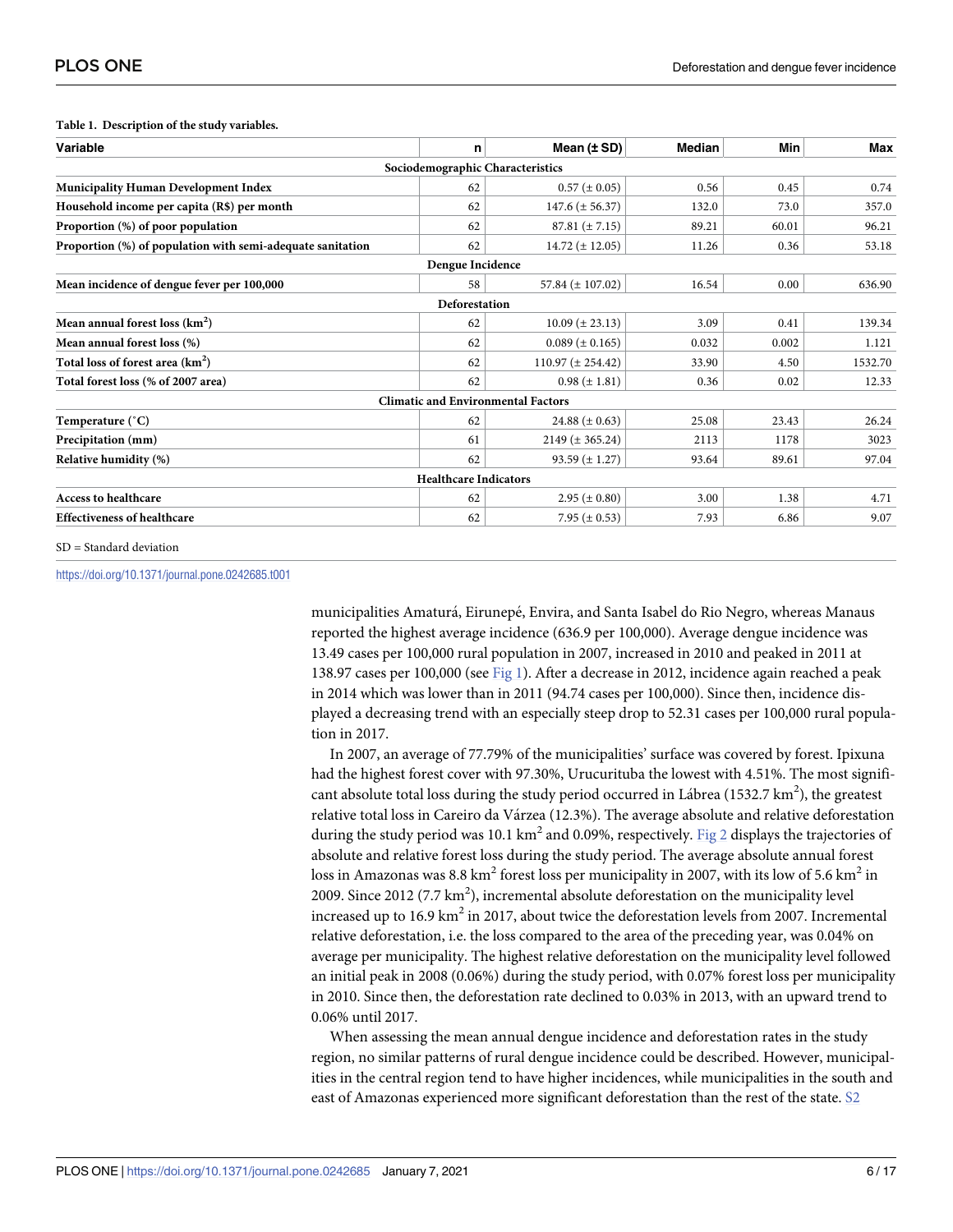| Variable                                                   | n                            | Mean $(\pm SD)$                           | <b>Median</b> | Min   | Max     |
|------------------------------------------------------------|------------------------------|-------------------------------------------|---------------|-------|---------|
|                                                            |                              | Sociodemographic Characteristics          |               |       |         |
| <b>Municipality Human Development Index</b>                | 62                           | $0.57 (\pm 0.05)$                         | 0.56          | 0.45  | 0.74    |
| Household income per capita (R\$) per month                | 62                           | $147.6 (\pm 56.37)$                       | 132.0         | 73.0  | 357.0   |
| Proportion (%) of poor population                          | 62                           | $87.81 (\pm 7.15)$                        | 89.21         | 60.01 | 96.21   |
| Proportion (%) of population with semi-adequate sanitation | 62                           | $14.72 (\pm 12.05)$                       | 11.26         | 0.36  | 53.18   |
|                                                            | Dengue Incidence             |                                           |               |       |         |
| Mean incidence of dengue fever per 100,000                 | 58                           | 57.84 $(\pm 107.02)$                      | 16.54         | 0.00  | 636.90  |
|                                                            | Deforestation                |                                           |               |       |         |
| Mean annual forest loss $(km^2)$                           | 62                           | $10.09 \ (\pm 23.13)$                     | 3.09          | 0.41  | 139.34  |
| Mean annual forest loss (%)                                | 62                           | $0.089 \ (\pm 0.165)$                     | 0.032         | 0.002 | 1.121   |
| Total loss of forest area (km <sup>2</sup> )               | 62                           | $110.97 (\pm 254.42)$                     | 33.90         | 4.50  | 1532.70 |
| Total forest loss (% of 2007 area)                         | 62                           | $0.98 (\pm 1.81)$                         | 0.36          | 0.02  | 12.33   |
|                                                            |                              | <b>Climatic and Environmental Factors</b> |               |       |         |
| Temperature (°C)                                           | 62                           | 24.88 $(\pm 0.63)$                        | 25.08         | 23.43 | 26.24   |
| Precipitation (mm)                                         | 61                           | $2149 (\pm 365.24)$                       | 2113          | 1178  | 3023    |
| Relative humidity (%)                                      | 62                           | $93.59 \ (\pm 1.27)$                      | 93.64         | 89.61 | 97.04   |
|                                                            | <b>Healthcare Indicators</b> |                                           |               |       |         |
| <b>Access to healthcare</b>                                | 62                           | $2.95 (\pm 0.80)$                         | 3.00          | 1.38  | 4.71    |
| <b>Effectiveness of healthcare</b>                         | 62                           | 7.95 ( $\pm$ 0.53)                        | 7.93          | 6.86  | 9.07    |

#### <span id="page-5-0"></span>**[Table](#page-4-0) 1. Description of the study variables.**

SD = Standard deviation

<https://doi.org/10.1371/journal.pone.0242685.t001>

municipalities Amaturá, Eirunepé, Envira, and Santa Isabel do Rio Negro, whereas Manaus reported the highest average incidence (636.9 per 100,000). Average dengue incidence was 13.49 cases per 100,000 rural population in 2007, increased in 2010 and peaked in 2011 at 138.97 cases per 100,000 (see [Fig](#page-6-0) 1). After a decrease in 2012, incidence again reached a peak in 2014 which was lower than in 2011 (94.74 cases per 100,000). Since then, incidence displayed a decreasing trend with an especially steep drop to 52.31 cases per 100,000 rural population in 2017.

In 2007, an average of 77.79% of the municipalities' surface was covered by forest. Ipixuna had the highest forest cover with 97.30%, Urucurituba the lowest with 4.51%. The most significant absolute total loss during the study period occurred in Lábrea (1532.7 km<sup>2</sup>), the greatest relative total loss in Careiro da Várzea (12.3%). The average absolute and relative deforestation during the study period was 10.1 km<sup>2</sup> and 0.09%, respectively. [Fig](#page-7-0) 2 displays the trajectories of absolute and relative forest loss during the study period. The average absolute annual forest loss in Amazonas was 8.8 km<sup>2</sup> forest loss per municipality in 2007, with its low of 5.6 km<sup>2</sup> in 2009. Since 2012 (7.7  $\text{km}^2$ ), incremental absolute deforestation on the municipality level increased up to 16.9 km<sup>2</sup> in 2017, about twice the deforestation levels from 2007. Incremental relative deforestation, i.e. the loss compared to the area of the preceding year, was 0.04% on average per municipality. The highest relative deforestation on the municipality level followed an initial peak in 2008 (0.06%) during the study period, with 0.07% forest loss per municipality in 2010. Since then, the deforestation rate declined to 0.03% in 2013, with an upward trend to 0.06% until 2017.

When assessing the mean annual dengue incidence and deforestation rates in the study region, no similar patterns of rural dengue incidence could be described. However, municipalities in the central region tend to have higher incidences, while municipalities in the south and east of Amazonas experienced more significant deforestation than the rest of the state. [S2](#page-11-0)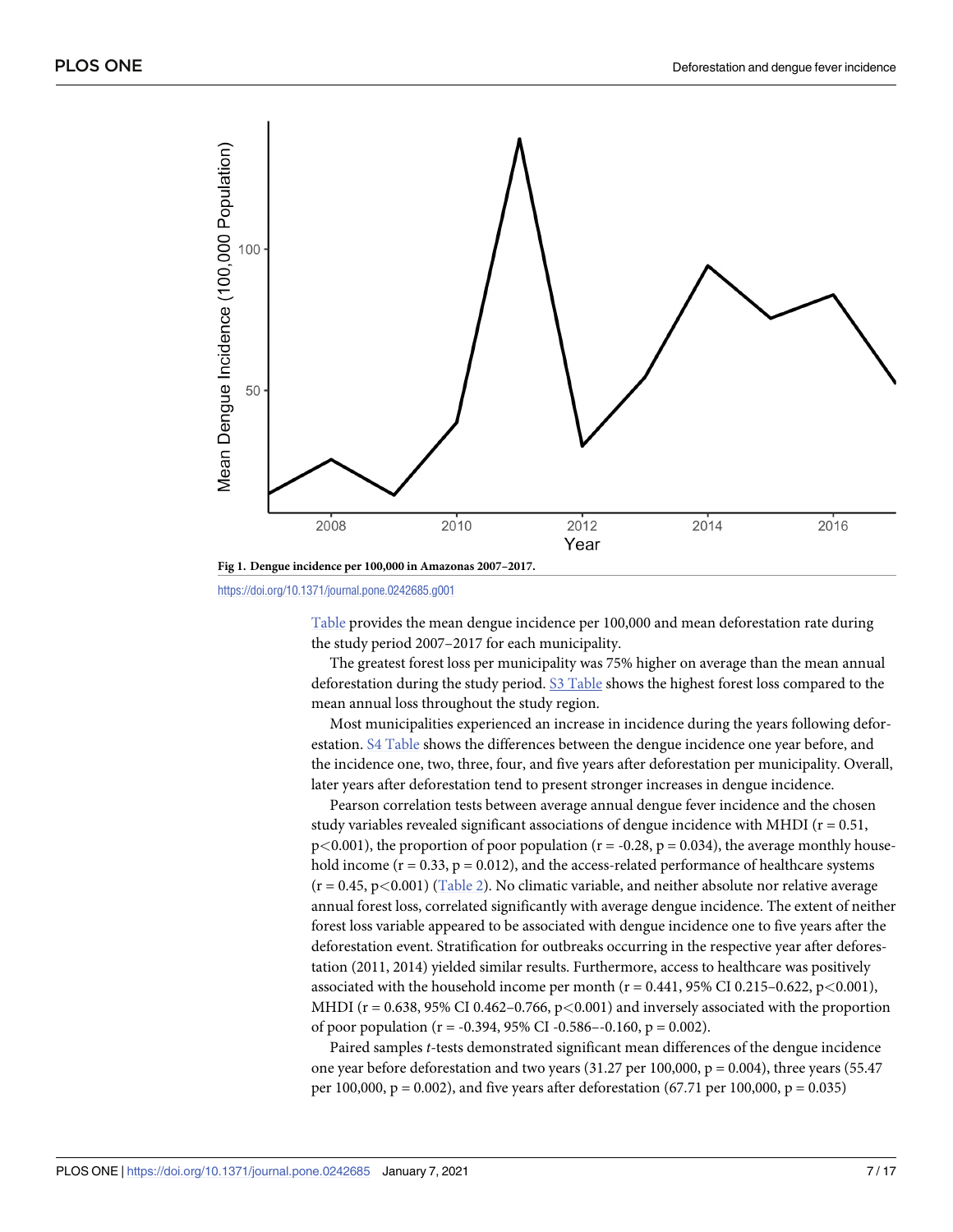<span id="page-6-0"></span>

<https://doi.org/10.1371/journal.pone.0242685.g001>

[Table](#page-11-0) provides the mean dengue incidence per 100,000 and mean deforestation rate during the study period 2007–2017 for each municipality.

The greatest forest loss per municipality was 75% higher on average than the mean annual deforestation during the study period. S3 [Table](#page-12-0) shows the highest forest loss compared to the mean annual loss throughout the study region.

Most municipalities experienced an increase in incidence during the years following deforestation. S4 [Table](#page-12-0) shows the differences between the dengue incidence one year before, and the incidence one, two, three, four, and five years after deforestation per municipality. Overall, later years after deforestation tend to present stronger increases in dengue incidence.

Pearson correlation tests between average annual dengue fever incidence and the chosen study variables revealed significant associations of dengue incidence with MHDI ( $r = 0.51$ ,  $p<0.001$ ), the proportion of poor population ( $r = -0.28$ ,  $p = 0.034$ ), the average monthly household income  $(r = 0.33, p = 0.012)$ , and the access-related performance of healthcare systems (r = 0.45, p*<*0.001) [\(Table](#page-7-0) 2). No climatic variable, and neither absolute nor relative average annual forest loss, correlated significantly with average dengue incidence. The extent of neither forest loss variable appeared to be associated with dengue incidence one to five years after the deforestation event. Stratification for outbreaks occurring in the respective year after deforestation (2011, 2014) yielded similar results. Furthermore, access to healthcare was positively associated with the household income per month (r = 0.441, 95% CI 0.215–0.622, p*<*0.001), MHDI (r = 0.638, 95% CI 0.462–0.766, p*<*0.001) and inversely associated with the proportion of poor population ( $r = -0.394$ , 95% CI -0.586--0.160,  $p = 0.002$ ).

Paired samples *t*-tests demonstrated significant mean differences of the dengue incidence one year before deforestation and two years  $(31.27 \text{ per } 100,000, p = 0.004)$ , three years  $(55.47$ per 100,000,  $p = 0.002$ ), and five years after deforestation (67.71 per 100,000,  $p = 0.035$ )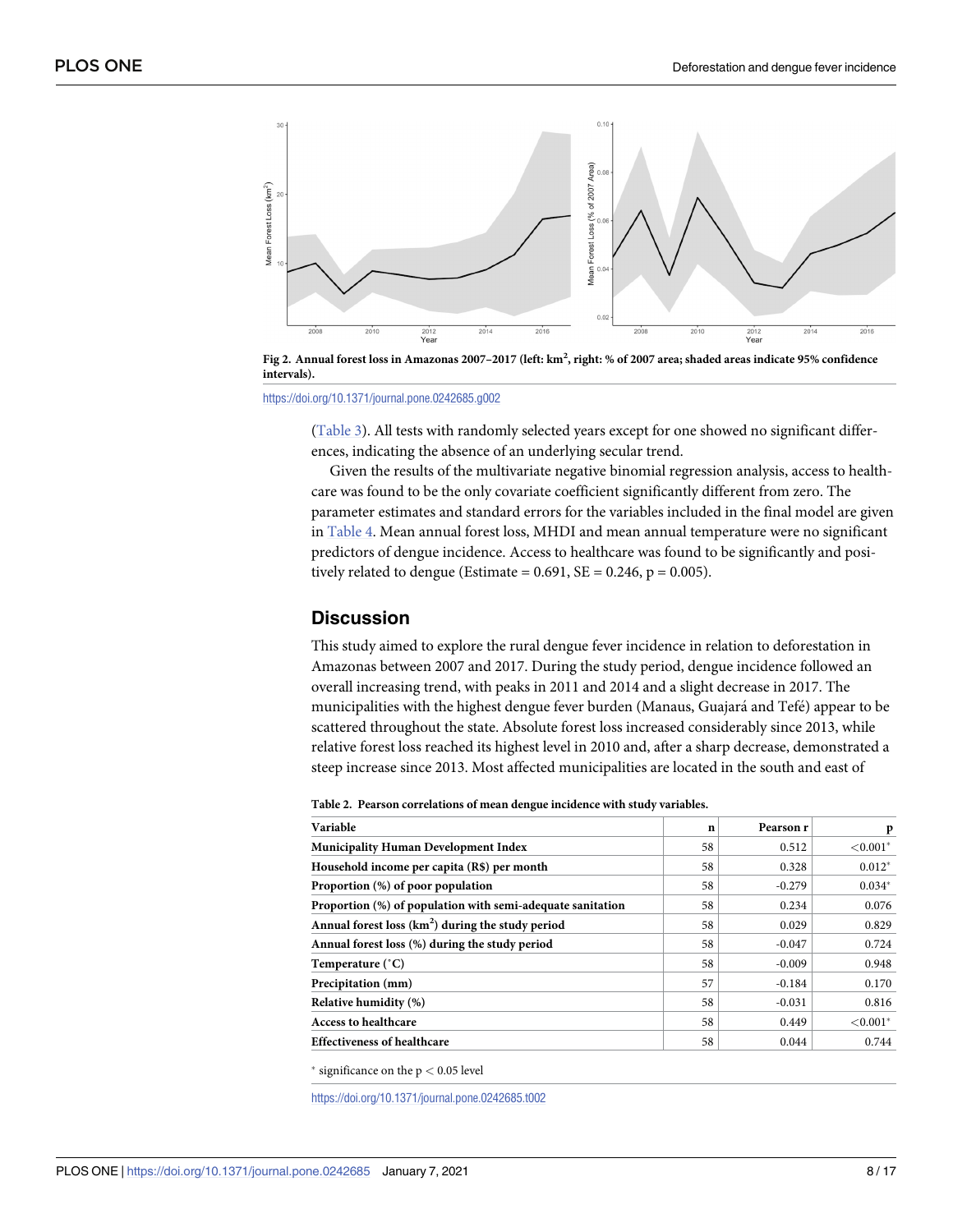<span id="page-7-0"></span>

[Fig](#page-5-0) 2. Annual forest loss in Amazonas 2007–2017 (left: km², right: % of 2007 area; shaded areas indicate 95% confidence **intervals).**

<https://doi.org/10.1371/journal.pone.0242685.g002>

[\(Table](#page-8-0) 3). All tests with randomly selected years except for one showed no significant differences, indicating the absence of an underlying secular trend.

Given the results of the multivariate negative binomial regression analysis, access to healthcare was found to be the only covariate coefficient significantly different from zero. The parameter estimates and standard errors for the variables included in the final model are given in [Table](#page-8-0) 4. Mean annual forest loss, MHDI and mean annual temperature were no significant predictors of dengue incidence. Access to healthcare was found to be significantly and positively related to dengue (Estimate =  $0.691$ , SE =  $0.246$ , p =  $0.005$ ).

#### **Discussion**

This study aimed to explore the rural dengue fever incidence in relation to deforestation in Amazonas between 2007 and 2017. During the study period, dengue incidence followed an overall increasing trend, with peaks in 2011 and 2014 and a slight decrease in 2017. The municipalities with the highest dengue fever burden (Manaus, Guajará and Tefé) appear to be scattered throughout the state. Absolute forest loss increased considerably since 2013, while relative forest loss reached its highest level in 2010 and, after a sharp decrease, demonstrated a steep increase since 2013. Most affected municipalities are located in the south and east of

**[Table](#page-6-0) 2. Pearson correlations of mean dengue incidence with study variables.**

| Variable                                                   | $\mathbf n$ | Pearson r | p           |
|------------------------------------------------------------|-------------|-----------|-------------|
| <b>Municipality Human Development Index</b>                | 58          | 0.512     | ${<}0.001*$ |
| Household income per capita (R\$) per month                | 58          | 0.328     | $0.012*$    |
| Proportion (%) of poor population                          | 58          | $-0.279$  | $0.034*$    |
| Proportion (%) of population with semi-adequate sanitation | 58          | 0.234     | 0.076       |
| Annual forest loss $(km2)$ during the study period         | 58          | 0.029     | 0.829       |
| Annual forest loss (%) during the study period             | 58          | $-0.047$  | 0.724       |
| Temperature (°C)                                           | 58          | $-0.009$  | 0.948       |
| Precipitation (mm)                                         | 57          | $-0.184$  | 0.170       |
| Relative humidity (%)                                      | 58          | $-0.031$  | 0.816       |
| <b>Access to healthcare</b>                                | 58          | 0.449     | ${<}0.001*$ |
| <b>Effectiveness of healthcare</b>                         | 58          | 0.044     | 0.744       |

 $*$  significance on the  $p < 0.05$  level

<https://doi.org/10.1371/journal.pone.0242685.t002>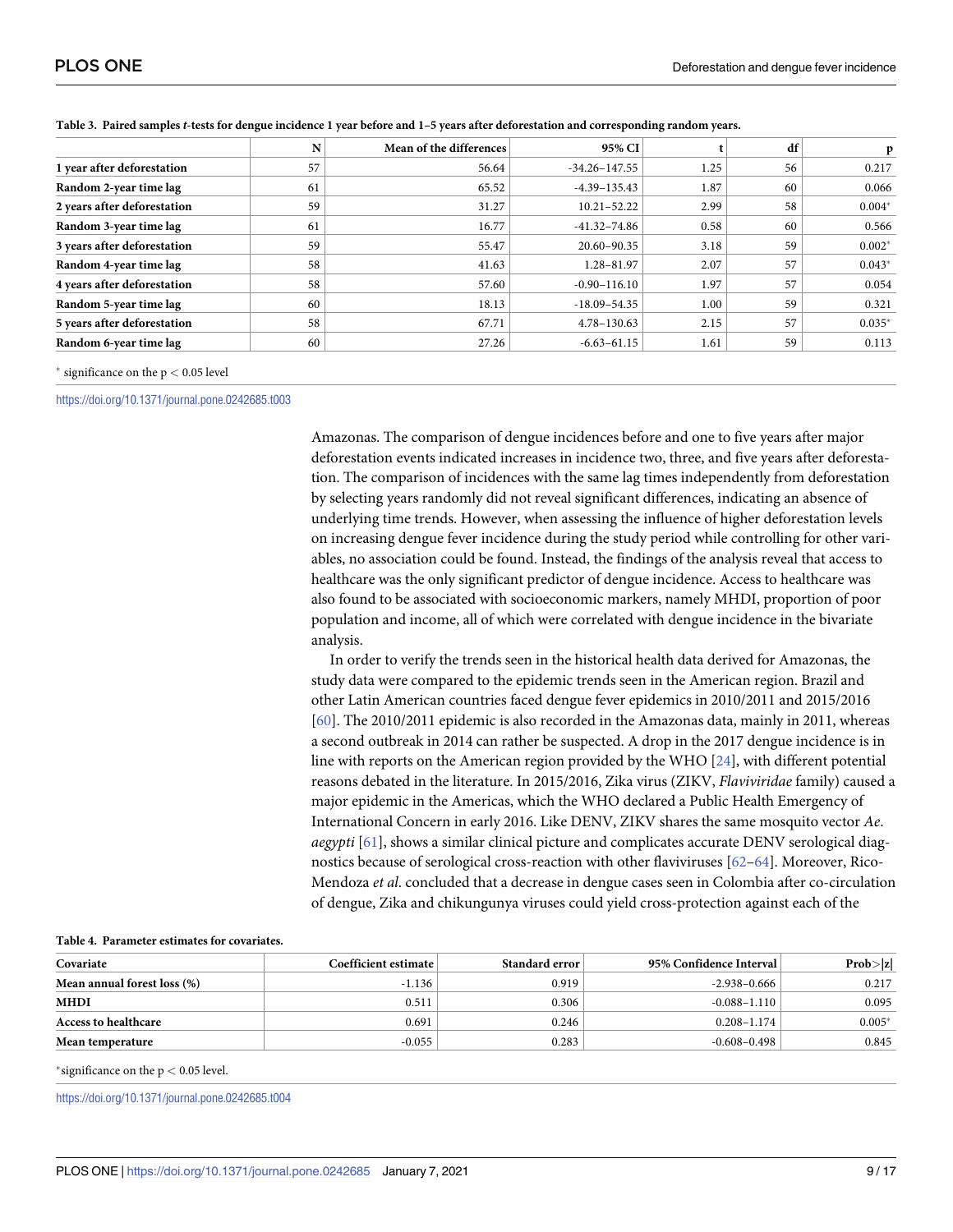|                             | N  | Mean of the differences | 95% CI            |      | df | p        |
|-----------------------------|----|-------------------------|-------------------|------|----|----------|
| 1 year after deforestation  | 57 | 56.64                   | $-34.26 - 147.55$ | 1.25 | 56 | 0.217    |
| Random 2-year time lag      | 61 | 65.52                   | $-4.39 - 135.43$  | 1.87 | 60 | 0.066    |
| 2 years after deforestation | 59 | 31.27                   | $10.21 - 52.22$   | 2.99 | 58 | $0.004*$ |
| Random 3-year time lag      | 61 | 16.77                   | $-41.32 - 74.86$  | 0.58 | 60 | 0.566    |
| 3 years after deforestation | 59 | 55.47                   | 20.60-90.35       | 3.18 | 59 | $0.002*$ |
| Random 4-year time lag      | 58 | 41.63                   | 1.28-81.97        | 2.07 | 57 | $0.043*$ |
| 4 years after deforestation | 58 | 57.60                   | $-0.90 - 116.10$  | 1.97 | 57 | 0.054    |
| Random 5-year time lag      | 60 | 18.13                   | $-18.09 - 54.35$  | 1.00 | 59 | 0.321    |
| 5 years after deforestation | 58 | 67.71                   | 4.78-130.63       | 2.15 | 57 | $0.035*$ |
| Random 6-year time lag      | 60 | 27.26                   | $-6.63 - 61.15$   | 1.61 | 59 | 0.113    |

<span id="page-8-0"></span>

|  |  |  | Table 3. Paired samples <i>t</i> -tests for dengue incidence 1 year before and 1-5 years after deforestation and corresponding random years. |  |  |
|--|--|--|----------------------------------------------------------------------------------------------------------------------------------------------|--|--|
|  |  |  |                                                                                                                                              |  |  |

� significance on the p *<* 0.05 level

<https://doi.org/10.1371/journal.pone.0242685.t003>

Amazonas. The comparison of dengue incidences before and one to five years after major deforestation events indicated increases in incidence two, three, and five years after deforestation. The comparison of incidences with the same lag times independently from deforestation by selecting years randomly did not reveal significant differences, indicating an absence of underlying time trends. However, when assessing the influence of higher deforestation levels on increasing dengue fever incidence during the study period while controlling for other variables, no association could be found. Instead, the findings of the analysis reveal that access to healthcare was the only significant predictor of dengue incidence. Access to healthcare was also found to be associated with socioeconomic markers, namely MHDI, proportion of poor population and income, all of which were correlated with dengue incidence in the bivariate analysis.

In order to verify the trends seen in the historical health data derived for Amazonas, the study data were compared to the epidemic trends seen in the American region. Brazil and other Latin American countries faced dengue fever epidemics in 2010/2011 and 2015/2016 [\[60\]](#page-15-0). The 2010/2011 epidemic is also recorded in the Amazonas data, mainly in 2011, whereas a second outbreak in 2014 can rather be suspected. A drop in the 2017 dengue incidence is in line with reports on the American region provided by the WHO [\[24\]](#page-13-0), with different potential reasons debated in the literature. In 2015/2016, Zika virus (ZIKV, *Flaviviridae* family) caused a major epidemic in the Americas, which the WHO declared a Public Health Emergency of International Concern in early 2016. Like DENV, ZIKV shares the same mosquito vector *Ae*. *aegypti* [[61](#page-15-0)], shows a similar clinical picture and complicates accurate DENV serological diagnostics because of serological cross-reaction with other flaviviruses [\[62–64](#page-15-0)]. Moreover, Rico-Mendoza *et al*. concluded that a decrease in dengue cases seen in Colombia after co-circulation of dengue, Zika and chikungunya viruses could yield cross-protection against each of the

| Covariate                   | Coefficient estimate | Standard error | 95% Confidence Interval | Prob> z  |
|-----------------------------|----------------------|----------------|-------------------------|----------|
| Mean annual forest loss (%) | $-1.136$             | 0.919          | -2.938–0.666            | 0.217    |
| <b>MHDI</b>                 | 0.511                | 0.306          | $-0.088 - 1.110$        | 0.095    |
| <b>Access to healthcare</b> | 0.691                | 0.246          | $0.208 - 1.174$         | $0.005*$ |
| Mean temperature            | $-0.055$             | 0.283          | -0.608–0.498            | 0.845    |

#### **[Table](#page-7-0) 4. Parameter estimates for covariates.**

 $*$ significance on the  $p < 0.05$  level.

<https://doi.org/10.1371/journal.pone.0242685.t004>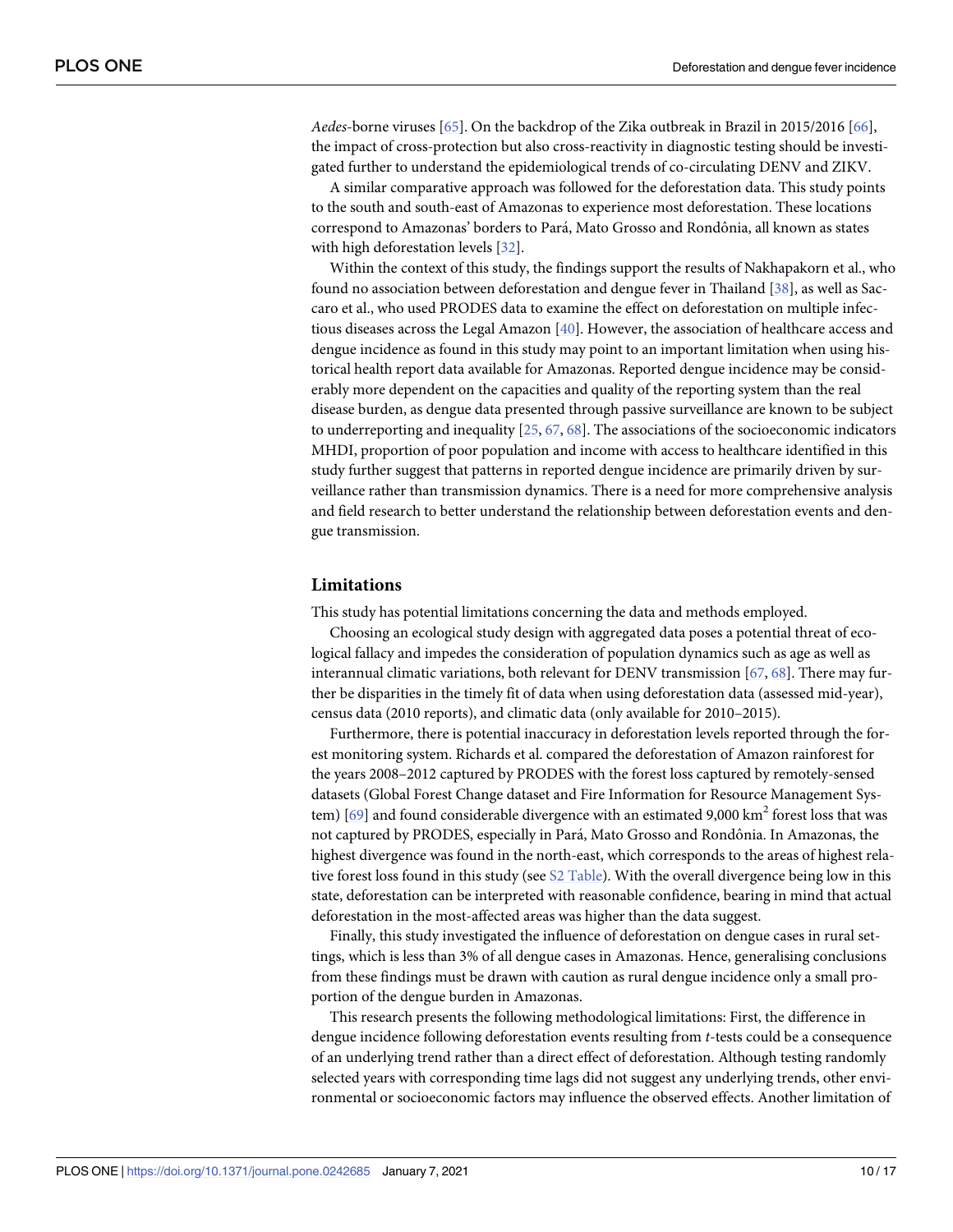<span id="page-9-0"></span>*Aedes*-borne viruses [\[65\]](#page-15-0). On the backdrop of the Zika outbreak in Brazil in 2015/2016 [[66](#page-15-0)], the impact of cross-protection but also cross-reactivity in diagnostic testing should be investigated further to understand the epidemiological trends of co-circulating DENV and ZIKV.

A similar comparative approach was followed for the deforestation data. This study points to the south and south-east of Amazonas to experience most deforestation. These locations correspond to Amazonas' borders to Pará, Mato Grosso and Rondônia, all known as states with high deforestation levels [[32](#page-13-0)].

Within the context of this study, the findings support the results of Nakhapakorn et al., who found no association between deforestation and dengue fever in Thailand [[38](#page-14-0)], as well as Saccaro et al., who used PRODES data to examine the effect on deforestation on multiple infectious diseases across the Legal Amazon [\[40\]](#page-14-0). However, the association of healthcare access and dengue incidence as found in this study may point to an important limitation when using historical health report data available for Amazonas. Reported dengue incidence may be considerably more dependent on the capacities and quality of the reporting system than the real disease burden, as dengue data presented through passive surveillance are known to be subject to underreporting and inequality [[25](#page-13-0), [67,](#page-15-0) [68\]](#page-15-0). The associations of the socioeconomic indicators MHDI, proportion of poor population and income with access to healthcare identified in this study further suggest that patterns in reported dengue incidence are primarily driven by surveillance rather than transmission dynamics. There is a need for more comprehensive analysis and field research to better understand the relationship between deforestation events and dengue transmission.

#### **Limitations**

This study has potential limitations concerning the data and methods employed.

Choosing an ecological study design with aggregated data poses a potential threat of ecological fallacy and impedes the consideration of population dynamics such as age as well as interannual climatic variations, both relevant for DENV transmission [[67](#page-15-0), [68](#page-15-0)]. There may further be disparities in the timely fit of data when using deforestation data (assessed mid-year), census data (2010 reports), and climatic data (only available for 2010–2015).

Furthermore, there is potential inaccuracy in deforestation levels reported through the forest monitoring system. Richards et al. compared the deforestation of Amazon rainforest for the years 2008–2012 captured by PRODES with the forest loss captured by remotely-sensed datasets (Global Forest Change dataset and Fire Information for Resource Management Sys-tem) [\[69\]](#page-15-0) and found considerable divergence with an estimated 9,000  $km<sup>2</sup>$  forest loss that was not captured by PRODES, especially in Pará, Mato Grosso and Rondônia. In Amazonas, the highest divergence was found in the north-east, which corresponds to the areas of highest relative forest loss found in this study (see S2 [Table](#page-11-0)). With the overall divergence being low in this state, deforestation can be interpreted with reasonable confidence, bearing in mind that actual deforestation in the most-affected areas was higher than the data suggest.

Finally, this study investigated the influence of deforestation on dengue cases in rural settings, which is less than 3% of all dengue cases in Amazonas. Hence, generalising conclusions from these findings must be drawn with caution as rural dengue incidence only a small proportion of the dengue burden in Amazonas.

This research presents the following methodological limitations: First, the difference in dengue incidence following deforestation events resulting from *t*-tests could be a consequence of an underlying trend rather than a direct effect of deforestation. Although testing randomly selected years with corresponding time lags did not suggest any underlying trends, other environmental or socioeconomic factors may influence the observed effects. Another limitation of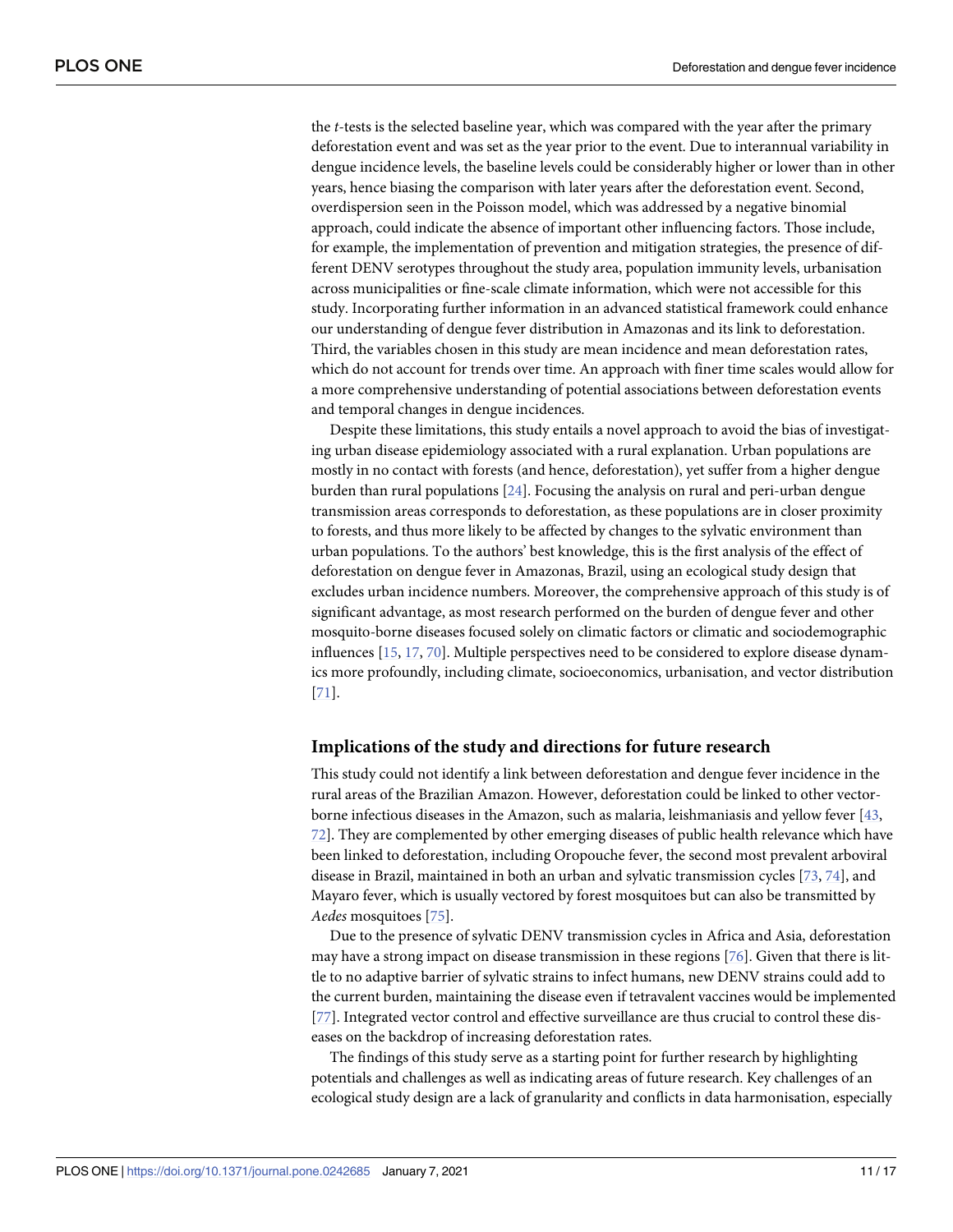<span id="page-10-0"></span>the *t*-tests is the selected baseline year, which was compared with the year after the primary deforestation event and was set as the year prior to the event. Due to interannual variability in dengue incidence levels, the baseline levels could be considerably higher or lower than in other years, hence biasing the comparison with later years after the deforestation event. Second, overdispersion seen in the Poisson model, which was addressed by a negative binomial approach, could indicate the absence of important other influencing factors. Those include, for example, the implementation of prevention and mitigation strategies, the presence of different DENV serotypes throughout the study area, population immunity levels, urbanisation across municipalities or fine-scale climate information, which were not accessible for this study. Incorporating further information in an advanced statistical framework could enhance our understanding of dengue fever distribution in Amazonas and its link to deforestation. Third, the variables chosen in this study are mean incidence and mean deforestation rates, which do not account for trends over time. An approach with finer time scales would allow for a more comprehensive understanding of potential associations between deforestation events and temporal changes in dengue incidences.

Despite these limitations, this study entails a novel approach to avoid the bias of investigating urban disease epidemiology associated with a rural explanation. Urban populations are mostly in no contact with forests (and hence, deforestation), yet suffer from a higher dengue burden than rural populations [\[24\]](#page-13-0). Focusing the analysis on rural and peri-urban dengue transmission areas corresponds to deforestation, as these populations are in closer proximity to forests, and thus more likely to be affected by changes to the sylvatic environment than urban populations. To the authors' best knowledge, this is the first analysis of the effect of deforestation on dengue fever in Amazonas, Brazil, using an ecological study design that excludes urban incidence numbers. Moreover, the comprehensive approach of this study is of significant advantage, as most research performed on the burden of dengue fever and other mosquito-borne diseases focused solely on climatic factors or climatic and sociodemographic influences [\[15,](#page-13-0) [17,](#page-13-0) [70\]](#page-15-0). Multiple perspectives need to be considered to explore disease dynamics more profoundly, including climate, socioeconomics, urbanisation, and vector distribution [\[71\]](#page-15-0).

#### **Implications of the study and directions for future research**

This study could not identify a link between deforestation and dengue fever incidence in the rural areas of the Brazilian Amazon. However, deforestation could be linked to other vectorborne infectious diseases in the Amazon, such as malaria, leishmaniasis and yellow fever [\[43,](#page-14-0) [72\]](#page-15-0). They are complemented by other emerging diseases of public health relevance which have been linked to deforestation, including Oropouche fever, the second most prevalent arboviral disease in Brazil, maintained in both an urban and sylvatic transmission cycles [[73](#page-15-0), [74\]](#page-15-0), and Mayaro fever, which is usually vectored by forest mosquitoes but can also be transmitted by *Aedes* mosquitoes [\[75\]](#page-15-0).

Due to the presence of sylvatic DENV transmission cycles in Africa and Asia, deforestation may have a strong impact on disease transmission in these regions [\[76\]](#page-15-0). Given that there is little to no adaptive barrier of sylvatic strains to infect humans, new DENV strains could add to the current burden, maintaining the disease even if tetravalent vaccines would be implemented [\[77\]](#page-15-0). Integrated vector control and effective surveillance are thus crucial to control these diseases on the backdrop of increasing deforestation rates.

The findings of this study serve as a starting point for further research by highlighting potentials and challenges as well as indicating areas of future research. Key challenges of an ecological study design are a lack of granularity and conflicts in data harmonisation, especially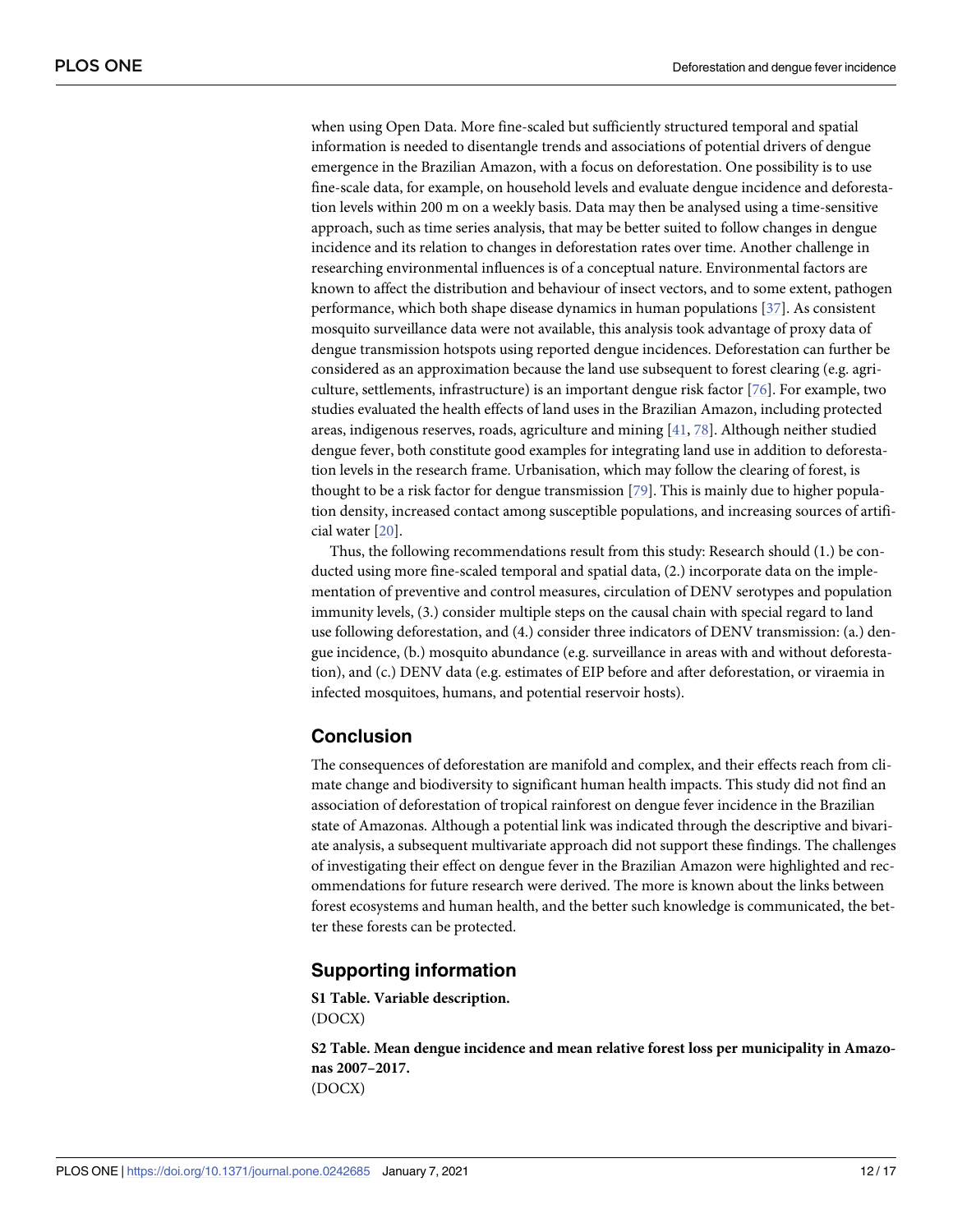<span id="page-11-0"></span>when using Open Data. More fine-scaled but sufficiently structured temporal and spatial information is needed to disentangle trends and associations of potential drivers of dengue emergence in the Brazilian Amazon, with a focus on deforestation. One possibility is to use fine-scale data, for example, on household levels and evaluate dengue incidence and deforestation levels within 200 m on a weekly basis. Data may then be analysed using a time-sensitive approach, such as time series analysis, that may be better suited to follow changes in dengue incidence and its relation to changes in deforestation rates over time. Another challenge in researching environmental influences is of a conceptual nature. Environmental factors are known to affect the distribution and behaviour of insect vectors, and to some extent, pathogen performance, which both shape disease dynamics in human populations [\[37\]](#page-14-0). As consistent mosquito surveillance data were not available, this analysis took advantage of proxy data of dengue transmission hotspots using reported dengue incidences. Deforestation can further be considered as an approximation because the land use subsequent to forest clearing (e.g. agriculture, settlements, infrastructure) is an important dengue risk factor [\[76\]](#page-15-0). For example, two studies evaluated the health effects of land uses in the Brazilian Amazon, including protected areas, indigenous reserves, roads, agriculture and mining [[41](#page-14-0), [78](#page-15-0)]. Although neither studied dengue fever, both constitute good examples for integrating land use in addition to deforestation levels in the research frame. Urbanisation, which may follow the clearing of forest, is thought to be a risk factor for dengue transmission [[79](#page-16-0)]. This is mainly due to higher population density, increased contact among susceptible populations, and increasing sources of artificial water [[20](#page-13-0)].

Thus, the following recommendations result from this study: Research should (1.) be conducted using more fine-scaled temporal and spatial data, (2.) incorporate data on the implementation of preventive and control measures, circulation of DENV serotypes and population immunity levels, (3.) consider multiple steps on the causal chain with special regard to land use following deforestation, and (4.) consider three indicators of DENV transmission: (a.) dengue incidence, (b.) mosquito abundance (e.g. surveillance in areas with and without deforestation), and (c.) DENV data (e.g. estimates of EIP before and after deforestation, or viraemia in infected mosquitoes, humans, and potential reservoir hosts).

## **Conclusion**

The consequences of deforestation are manifold and complex, and their effects reach from climate change and biodiversity to significant human health impacts. This study did not find an association of deforestation of tropical rainforest on dengue fever incidence in the Brazilian state of Amazonas. Although a potential link was indicated through the descriptive and bivariate analysis, a subsequent multivariate approach did not support these findings. The challenges of investigating their effect on dengue fever in the Brazilian Amazon were highlighted and recommendations for future research were derived. The more is known about the links between forest ecosystems and human health, and the better such knowledge is communicated, the better these forests can be protected.

#### **Supporting information**

**S1 [Table.](http://www.plosone.org/article/fetchSingleRepresentation.action?uri=info:doi/10.1371/journal.pone.0242685.s001) Variable description.** (DOCX)

**S2 [Table.](http://www.plosone.org/article/fetchSingleRepresentation.action?uri=info:doi/10.1371/journal.pone.0242685.s002) Mean dengue incidence and mean relative forest loss per municipality in Amazonas 2007–2017.** (DOCX)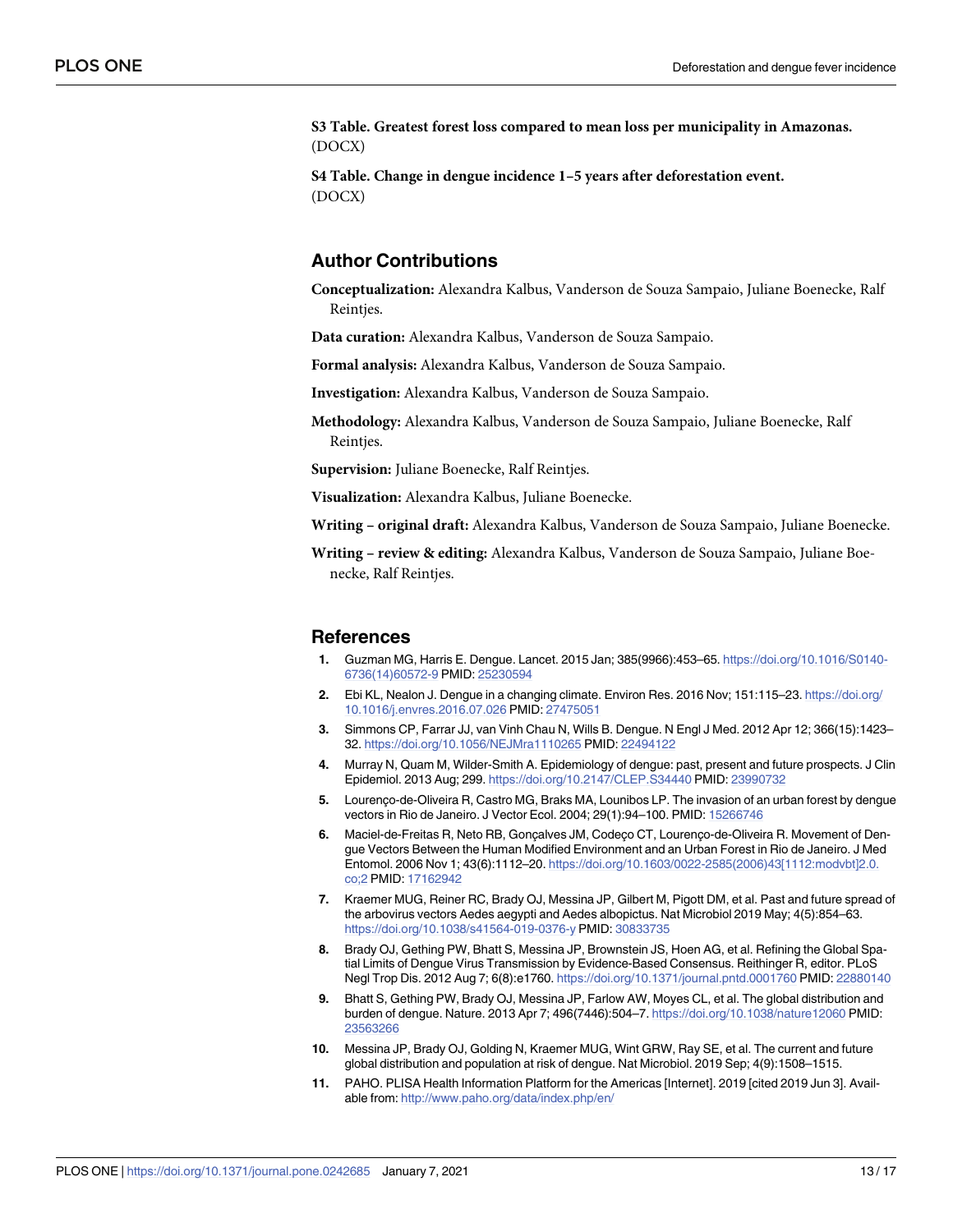<span id="page-12-0"></span>**S3 [Table.](http://www.plosone.org/article/fetchSingleRepresentation.action?uri=info:doi/10.1371/journal.pone.0242685.s003) Greatest forest loss compared to mean loss per municipality in Amazonas.** (DOCX)

**S4 [Table.](http://www.plosone.org/article/fetchSingleRepresentation.action?uri=info:doi/10.1371/journal.pone.0242685.s004) Change in dengue incidence 1–5 years after deforestation event.** (DOCX)

#### **Author Contributions**

**Conceptualization:** Alexandra Kalbus, Vanderson de Souza Sampaio, Juliane Boenecke, Ralf Reintjes.

**Data curation:** Alexandra Kalbus, Vanderson de Souza Sampaio.

**Formal analysis:** Alexandra Kalbus, Vanderson de Souza Sampaio.

**Investigation:** Alexandra Kalbus, Vanderson de Souza Sampaio.

**Methodology:** Alexandra Kalbus, Vanderson de Souza Sampaio, Juliane Boenecke, Ralf Reintjes.

**Supervision:** Juliane Boenecke, Ralf Reintjes.

**Visualization:** Alexandra Kalbus, Juliane Boenecke.

**Writing – original draft:** Alexandra Kalbus, Vanderson de Souza Sampaio, Juliane Boenecke.

**Writing – review & editing:** Alexandra Kalbus, Vanderson de Souza Sampaio, Juliane Boenecke, Ralf Reintjes.

#### **References**

- **[1](#page-1-0).** Guzman MG, Harris E. Dengue. Lancet. 2015 Jan; 385(9966):453–65. [https://doi.org/10.1016/S0140-](https://doi.org/10.1016/S0140-6736%2814%2960572-9) [6736\(14\)60572-9](https://doi.org/10.1016/S0140-6736%2814%2960572-9) PMID: [25230594](http://www.ncbi.nlm.nih.gov/pubmed/25230594)
- **[2](#page-1-0).** Ebi KL, Nealon J. Dengue in a changing climate. Environ Res. 2016 Nov; 151:115–23. [https://doi.org/](https://doi.org/10.1016/j.envres.2016.07.026) [10.1016/j.envres.2016.07.026](https://doi.org/10.1016/j.envres.2016.07.026) PMID: [27475051](http://www.ncbi.nlm.nih.gov/pubmed/27475051)
- **[3](#page-1-0).** Simmons CP, Farrar JJ, van Vinh Chau N, Wills B. Dengue. N Engl J Med. 2012 Apr 12; 366(15):1423– 32. <https://doi.org/10.1056/NEJMra1110265> PMID: [22494122](http://www.ncbi.nlm.nih.gov/pubmed/22494122)
- **[4](#page-1-0).** Murray N, Quam M, Wilder-Smith A. Epidemiology of dengue: past, present and future prospects. J Clin Epidemiol. 2013 Aug; 299. <https://doi.org/10.2147/CLEP.S34440> PMID: [23990732](http://www.ncbi.nlm.nih.gov/pubmed/23990732)
- **[5](#page-1-0).** Lourenco-de-Oliveira R, Castro MG, Braks MA, Lounibos LP. The invasion of an urban forest by dengue vectors in Rio de Janeiro. J Vector Ecol. 2004; 29(1):94–100. PMID: [15266746](http://www.ncbi.nlm.nih.gov/pubmed/15266746)
- **[6](#page-1-0).** Maciel-de-Freitas R, Neto RB, Goncalves JM, Codeco CT, Lourenco-de-Oliveira R. Movement of Dengue Vectors Between the Human Modified Environment and an Urban Forest in Rio de Janeiro. J Med Entomol. 2006 Nov 1; 43(6):1112–20. [https://doi.org/10.1603/0022-2585\(2006\)43\[1112:modvbt\]2.0.](https://doi.org/10.1603/0022-2585%282006%2943%5B1112%3Amodvbt%5D2.0.co%3B2) [co;2](https://doi.org/10.1603/0022-2585%282006%2943%5B1112%3Amodvbt%5D2.0.co%3B2) PMID: [17162942](http://www.ncbi.nlm.nih.gov/pubmed/17162942)
- **[7](#page-1-0).** Kraemer MUG, Reiner RC, Brady OJ, Messina JP, Gilbert M, Pigott DM, et al. Past and future spread of the arbovirus vectors Aedes aegypti and Aedes albopictus. Nat Microbiol 2019 May; 4(5):854–63. <https://doi.org/10.1038/s41564-019-0376-y> PMID: [30833735](http://www.ncbi.nlm.nih.gov/pubmed/30833735)
- **[8](#page-1-0).** Brady OJ, Gething PW, Bhatt S, Messina JP, Brownstein JS, Hoen AG, et al. Refining the Global Spatial Limits of Dengue Virus Transmission by Evidence-Based Consensus. Reithinger R, editor. PLoS Negl Trop Dis. 2012 Aug 7; 6(8):e1760. <https://doi.org/10.1371/journal.pntd.0001760> PMID: [22880140](http://www.ncbi.nlm.nih.gov/pubmed/22880140)
- **[9](#page-1-0).** Bhatt S, Gething PW, Brady OJ, Messina JP, Farlow AW, Moyes CL, et al. The global distribution and burden of dengue. Nature. 2013 Apr 7; 496(7446):504–7. <https://doi.org/10.1038/nature12060> PMID: [23563266](http://www.ncbi.nlm.nih.gov/pubmed/23563266)
- **[10](#page-1-0).** Messina JP, Brady OJ, Golding N, Kraemer MUG, Wint GRW, Ray SE, et al. The current and future global distribution and population at risk of dengue. Nat Microbiol. 2019 Sep; 4(9):1508–1515.
- **[11](#page-1-0).** PAHO. PLISA Health Information Platform for the Americas [Internet]. 2019 [cited 2019 Jun 3]. Available from: <http://www.paho.org/data/index.php/en/>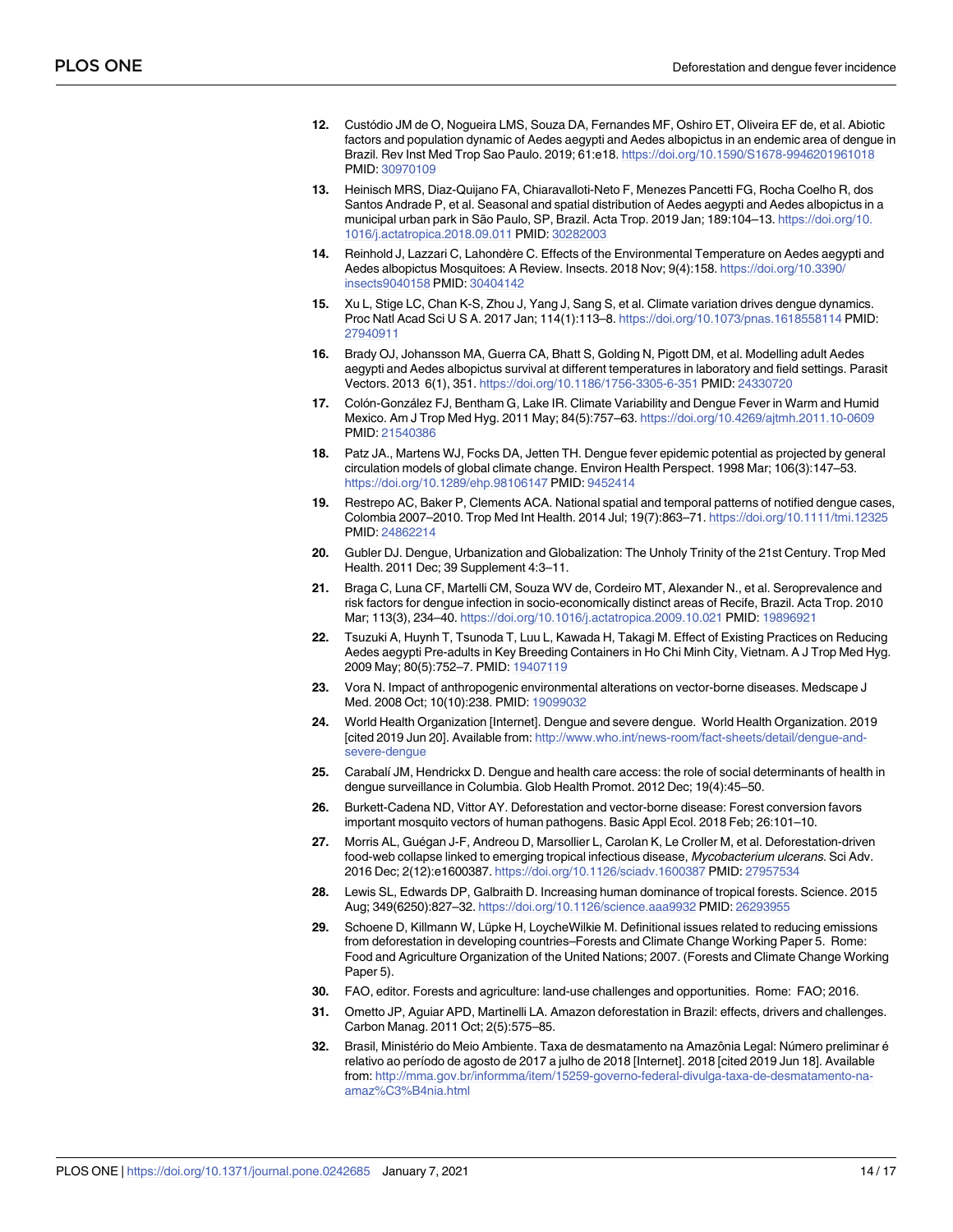- <span id="page-13-0"></span>**[12](#page-1-0).** Custo´dio JM de O, Nogueira LMS, Souza DA, Fernandes MF, Oshiro ET, Oliveira EF de, et al. Abiotic factors and population dynamic of Aedes aegypti and Aedes albopictus in an endemic area of dengue in Brazil. Rev Inst Med Trop Sao Paulo. 2019; 61:e18. <https://doi.org/10.1590/S1678-9946201961018> PMID: [30970109](http://www.ncbi.nlm.nih.gov/pubmed/30970109)
- **13.** Heinisch MRS, Diaz-Quijano FA, Chiaravalloti-Neto F, Menezes Pancetti FG, Rocha Coelho R, dos Santos Andrade P, et al. Seasonal and spatial distribution of Aedes aegypti and Aedes albopictus in a municipal urban park in São Paulo, SP, Brazil. Acta Trop. 2019 Jan; 189:104–13. [https://doi.org/10.](https://doi.org/10.1016/j.actatropica.2018.09.011) [1016/j.actatropica.2018.09.011](https://doi.org/10.1016/j.actatropica.2018.09.011) PMID: [30282003](http://www.ncbi.nlm.nih.gov/pubmed/30282003)
- **14.** Reinhold J, Lazzari C, Lahondère C. Effects of the Environmental Temperature on Aedes aegypti and Aedes albopictus Mosquitoes: A Review. Insects. 2018 Nov; 9(4):158. [https://doi.org/10.3390/](https://doi.org/10.3390/insects9040158) [insects9040158](https://doi.org/10.3390/insects9040158) PMID: [30404142](http://www.ncbi.nlm.nih.gov/pubmed/30404142)
- **[15](#page-1-0).** Xu L, Stige LC, Chan K-S, Zhou J, Yang J, Sang S, et al. Climate variation drives dengue dynamics. Proc Natl Acad Sci U S A. 2017 Jan; 114(1):113–8. <https://doi.org/10.1073/pnas.1618558114> PMID: [27940911](http://www.ncbi.nlm.nih.gov/pubmed/27940911)
- **[16](#page-1-0).** Brady OJ, Johansson MA, Guerra CA, Bhatt S, Golding N, Pigott DM, et al. Modelling adult Aedes aegypti and Aedes albopictus survival at different temperatures in laboratory and field settings. Parasit Vectors. 2013 6(1), 351. <https://doi.org/10.1186/1756-3305-6-351> PMID: [24330720](http://www.ncbi.nlm.nih.gov/pubmed/24330720)
- **[17](#page-10-0).** Colón-González FJ, Bentham G, Lake IR. Climate Variability and Dengue Fever in Warm and Humid Mexico. Am J Trop Med Hyg. 2011 May; 84(5):757–63. <https://doi.org/10.4269/ajtmh.2011.10-0609> PMID: [21540386](http://www.ncbi.nlm.nih.gov/pubmed/21540386)
- **18.** Patz JA., Martens WJ, Focks DA, Jetten TH. Dengue fever epidemic potential as projected by general circulation models of global climate change. Environ Health Perspect. 1998 Mar; 106(3):147–53. <https://doi.org/10.1289/ehp.98106147> PMID: [9452414](http://www.ncbi.nlm.nih.gov/pubmed/9452414)
- **[19](#page-1-0).** Restrepo AC, Baker P, Clements ACA. National spatial and temporal patterns of notified dengue cases, Colombia 2007–2010. Trop Med Int Health. 2014 Jul; 19(7):863–71. <https://doi.org/10.1111/tmi.12325> PMID: [24862214](http://www.ncbi.nlm.nih.gov/pubmed/24862214)
- **[20](#page-1-0).** Gubler DJ. Dengue, Urbanization and Globalization: The Unholy Trinity of the 21st Century. Trop Med Health. 2011 Dec; 39 Supplement 4:3–11.
- **[21](#page-1-0).** Braga C, Luna CF, Martelli CM, Souza WV de, Cordeiro MT, Alexander N., et al. Seroprevalence and risk factors for dengue infection in socio-economically distinct areas of Recife, Brazil. Acta Trop. 2010 Mar; 113(3), 234–40. <https://doi.org/10.1016/j.actatropica.2009.10.021> PMID: [19896921](http://www.ncbi.nlm.nih.gov/pubmed/19896921)
- **22.** Tsuzuki A, Huynh T, Tsunoda T, Luu L, Kawada H, Takagi M. Effect of Existing Practices on Reducing Aedes aegypti Pre-adults in Key Breeding Containers in Ho Chi Minh City, Vietnam. A J Trop Med Hyg. 2009 May; 80(5):752–7. PMID: [19407119](http://www.ncbi.nlm.nih.gov/pubmed/19407119)
- **[23](#page-1-0).** Vora N. Impact of anthropogenic environmental alterations on vector-borne diseases. Medscape J Med. 2008 Oct; 10(10):238. PMID: [19099032](http://www.ncbi.nlm.nih.gov/pubmed/19099032)
- **[24](#page-1-0).** World Health Organization [Internet]. Dengue and severe dengue. World Health Organization. 2019 [cited 2019 Jun 20]. Available from: [http://www.who.int/news-room/fact-sheets/detail/dengue-and](http://www.who.int/news-room/fact-sheets/detail/dengue-and-severe-dengue)[severe-dengue](http://www.who.int/news-room/fact-sheets/detail/dengue-and-severe-dengue)
- **[25](#page-1-0).** Carabal´ı JM, Hendrickx D. Dengue and health care access: the role of social determinants of health in dengue surveillance in Columbia. Glob Health Promot. 2012 Dec; 19(4):45–50.
- **[26](#page-1-0).** Burkett-Cadena ND, Vittor AY. Deforestation and vector-borne disease: Forest conversion favors important mosquito vectors of human pathogens. Basic Appl Ecol. 2018 Feb; 26:101–10.
- [27](#page-1-0). Morris AL, Guégan J-F, Andreou D, Marsollier L, Carolan K, Le Croller M, et al. Deforestation-driven food-web collapse linked to emerging tropical infectious disease, Mycobacterium ulcerans. Sci Adv. 2016 Dec; 2(12):e1600387. <https://doi.org/10.1126/sciadv.1600387> PMID: [27957534](http://www.ncbi.nlm.nih.gov/pubmed/27957534)
- **[28](#page-2-0).** Lewis SL, Edwards DP, Galbraith D. Increasing human dominance of tropical forests. Science. 2015 Aug; 349(6250):827–32. <https://doi.org/10.1126/science.aaa9932> PMID: [26293955](http://www.ncbi.nlm.nih.gov/pubmed/26293955)
- **[29](#page-2-0).** Schoene D, Killmann W, Lüpke H, LoycheWilkie M. Definitional issues related to reducing emissions from deforestation in developing countries–Forests and Climate Change Working Paper 5. Rome: Food and Agriculture Organization of the United Nations; 2007. (Forests and Climate Change Working Paper 5).
- **[30](#page-2-0).** FAO, editor. Forests and agriculture: land-use challenges and opportunities. Rome: FAO; 2016.
- **[31](#page-2-0).** Ometto JP, Aguiar APD, Martinelli LA. Amazon deforestation in Brazil: effects, drivers and challenges. Carbon Manag. 2011 Oct; 2(5):575–85.
- Brasil, Ministério do Meio Ambiente. Taxa de desmatamento na Amazônia Legal: Número preliminar é relativo ao período de agosto de 2017 a julho de 2018 [Internet]. 2018 [cited 2019 Jun 18]. Available from: [http://mma.gov.br/informma/item/15259-governo-federal-divulga-taxa-de-desmatamento-na](http://mma.gov.br/informma/item/15259-governo-federal-divulga-taxa-de-desmatamento-na-amaz%C3%B4nia.html)[amaz%C3%B4nia.html](http://mma.gov.br/informma/item/15259-governo-federal-divulga-taxa-de-desmatamento-na-amaz%C3%B4nia.html)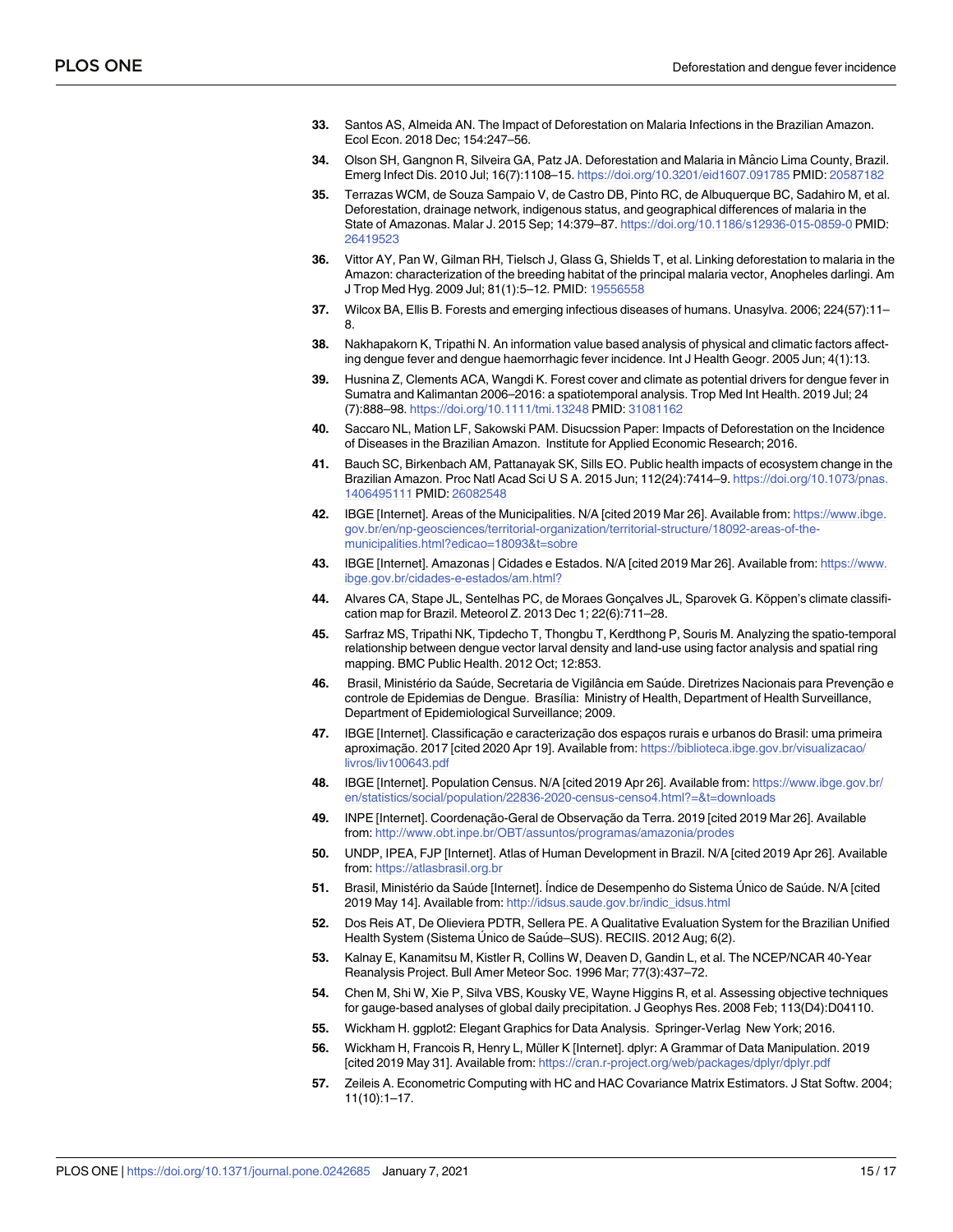- <span id="page-14-0"></span>**[33](#page-2-0).** Santos AS, Almeida AN. The Impact of Deforestation on Malaria Infections in the Brazilian Amazon. Ecol Econ. 2018 Dec; 154:247–56.
- **34.** Olson SH, Gangnon R, Silveira GA, Patz JA. Deforestation and Malaria in Mâncio Lima County, Brazil. Emerg Infect Dis. 2010 Jul; 16(7):1108–15. <https://doi.org/10.3201/eid1607.091785> PMID: [20587182](http://www.ncbi.nlm.nih.gov/pubmed/20587182)
- **35.** Terrazas WCM, de Souza Sampaio V, de Castro DB, Pinto RC, de Albuquerque BC, Sadahiro M, et al. Deforestation, drainage network, indigenous status, and geographical differences of malaria in the State of Amazonas. Malar J. 2015 Sep; 14:379–87. <https://doi.org/10.1186/s12936-015-0859-0> PMID: [26419523](http://www.ncbi.nlm.nih.gov/pubmed/26419523)
- **36.** Vittor AY, Pan W, Gilman RH, Tielsch J, Glass G, Shields T, et al. Linking deforestation to malaria in the Amazon: characterization of the breeding habitat of the principal malaria vector, Anopheles darlingi. Am J Trop Med Hyg. 2009 Jul; 81(1):5–12. PMID: [19556558](http://www.ncbi.nlm.nih.gov/pubmed/19556558)
- **[37](#page-2-0).** Wilcox BA, Ellis B. Forests and emerging infectious diseases of humans. Unasylva. 2006; 224(57):11– 8.
- **[38](#page-2-0).** Nakhapakorn K, Tripathi N. An information value based analysis of physical and climatic factors affecting dengue fever and dengue haemorrhagic fever incidence. Int J Health Geogr. 2005 Jun; 4(1):13.
- **[39](#page-2-0).** Husnina Z, Clements ACA, Wangdi K. Forest cover and climate as potential drivers for dengue fever in Sumatra and Kalimantan 2006–2016: a spatiotemporal analysis. Trop Med Int Health. 2019 Jul; 24 (7):888–98. <https://doi.org/10.1111/tmi.13248> PMID: [31081162](http://www.ncbi.nlm.nih.gov/pubmed/31081162)
- **[40](#page-2-0).** Saccaro NL, Mation LF, Sakowski PAM. Disucssion Paper: Impacts of Deforestation on the Incidence of Diseases in the Brazilian Amazon. Institute for Applied Economic Research; 2016.
- **[41](#page-2-0).** Bauch SC, Birkenbach AM, Pattanayak SK, Sills EO. Public health impacts of ecosystem change in the Brazilian Amazon. Proc Natl Acad Sci U S A. 2015 Jun; 112(24):7414–9. [https://doi.org/10.1073/pnas.](https://doi.org/10.1073/pnas.1406495111) [1406495111](https://doi.org/10.1073/pnas.1406495111) PMID: [26082548](http://www.ncbi.nlm.nih.gov/pubmed/26082548)
- **[42](#page-2-0).** IBGE [Internet]. Areas of the Municipalities. N/A [cited 2019 Mar 26]. Available from: [https://www.ibge.](https://www.ibge.gov.br/en/np-geosciences/territorial-organization/territorial-structure/18092-areas-of-the-municipalities.html?edicao=18093&t=sobre) [gov.br/en/np-geosciences/territorial-organization/territorial-structure/18092-areas-of-the](https://www.ibge.gov.br/en/np-geosciences/territorial-organization/territorial-structure/18092-areas-of-the-municipalities.html?edicao=18093&t=sobre)[municipalities.html?edicao=18093&t=sobre](https://www.ibge.gov.br/en/np-geosciences/territorial-organization/territorial-structure/18092-areas-of-the-municipalities.html?edicao=18093&t=sobre)
- **[43](#page-2-0).** IBGE [Internet]. Amazonas | Cidades e Estados. N/A [cited 2019 Mar 26]. Available from: [https://www.](https://www.ibge.gov.br/cidades-e-estados/am.html?) [ibge.gov.br/cidades-e-estados/am.html?](https://www.ibge.gov.br/cidades-e-estados/am.html?)
- [44](#page-2-0). Alvares CA, Stape JL, Sentelhas PC, de Moraes Gonçalves JL, Sparovek G. Köppen's climate classification map for Brazil. Meteorol Z. 2013 Dec 1; 22(6):711–28.
- **[45](#page-2-0).** Sarfraz MS, Tripathi NK, Tipdecho T, Thongbu T, Kerdthong P, Souris M. Analyzing the spatio-temporal relationship between dengue vector larval density and land-use using factor analysis and spatial ring mapping. BMC Public Health. 2012 Oct; 12:853.
- [46](#page-3-0). Brasil, Ministério da Saúde, Secretaria de Vigilância em Saúde. Diretrizes Nacionais para Prevenção e controle de Epidemias de Dengue. Brasília: Ministry of Health, Department of Health Surveillance, Department of Epidemiological Surveillance; 2009.
- **[47](#page-3-0).** IBGE [Internet]. Classificação e caracterização dos espaços rurais e urbanos do Brasil: uma primeira aproximação. 2017 [cited 2020 Apr 19]. Available from: [https://biblioteca.ibge.gov.br/visualizacao/](https://biblioteca.ibge.gov.br/visualizacao/livros/liv100643.pdf) [livros/liv100643.pdf](https://biblioteca.ibge.gov.br/visualizacao/livros/liv100643.pdf)
- **[48](#page-3-0).** IBGE [Internet]. Population Census. N/A [cited 2019 Apr 26]. Available from: [https://www.ibge.gov.br/](https://www.ibge.gov.br/en/statistics/social/population/22836-2020-census-censo4.html?=&t=downloads) [en/statistics/social/population/22836-2020-census-censo4.html?=&t=downloads](https://www.ibge.gov.br/en/statistics/social/population/22836-2020-census-censo4.html?=&t=downloads)
- **[49](#page-3-0).** INPE [Internet]. Coordenação-Geral de Observação da Terra. 2019 [cited 2019 Mar 26]. Available from: <http://www.obt.inpe.br/OBT/assuntos/programas/amazonia/prodes>
- **[50](#page-3-0).** UNDP, IPEA, FJP [Internet]. Atlas of Human Development in Brazil. N/A [cited 2019 Apr 26]. Available from: <https://atlasbrasil.org.br>
- [51](#page-3-0). Brasil, Ministério da Saúde [Internet]. Índice de Desempenho do Sistema Único de Saúde. N/A [cited 2019 May 14]. Available from: [http://idsus.saude.gov.br/indic\\_idsus.html](http://idsus.saude.gov.br/indic_idsus.html)
- **[52](#page-3-0).** Dos Reis AT, De Olieviera PDTR, Sellera PE. A Qualitative Evaluation System for the Brazilian Unified Health System (Sistema Único de Saúde–SUS). RECIIS. 2012 Aug; 6(2).
- **[53](#page-3-0).** Kalnay E, Kanamitsu M, Kistler R, Collins W, Deaven D, Gandin L, et al. The NCEP/NCAR 40-Year Reanalysis Project. Bull Amer Meteor Soc. 1996 Mar; 77(3):437–72.
- **[54](#page-3-0).** Chen M, Shi W, Xie P, Silva VBS, Kousky VE, Wayne Higgins R, et al. Assessing objective techniques for gauge-based analyses of global daily precipitation. J Geophys Res. 2008 Feb; 113(D4):D04110.
- **[55](#page-4-0).** Wickham H. ggplot2: Elegant Graphics for Data Analysis. Springer-Verlag New York; 2016.
- **56.** Wickham H, Francois R, Henry L, Müller K [Internet]. dplyr: A Grammar of Data Manipulation. 2019 [cited 2019 May 31]. Available from: <https://cran.r-project.org/web/packages/dplyr/dplyr.pdf>
- **57.** Zeileis A. Econometric Computing with HC and HAC Covariance Matrix Estimators. J Stat Softw. 2004; 11(10):1–17.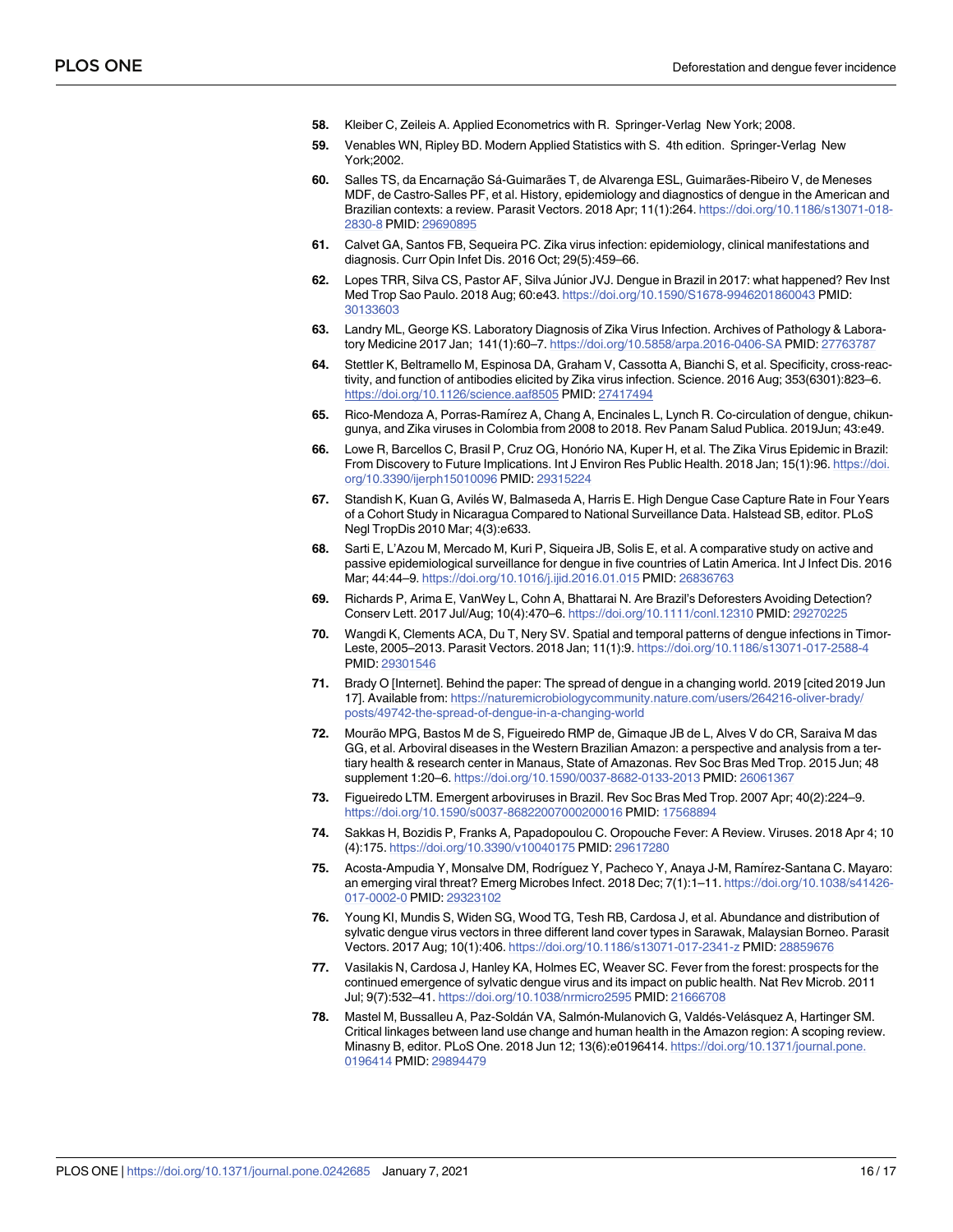- <span id="page-15-0"></span>**58.** Kleiber C, Zeileis A. Applied Econometrics with R. Springer-Verlag New York; 2008.
- **[59](#page-4-0).** Venables WN, Ripley BD. Modern Applied Statistics with S. 4th edition. Springer-Verlag New York;2002.
- [60](#page-8-0). Salles TS, da Encarnação Sá-Guimarães T, de Alvarenga ESL, Guimarães-Ribeiro V, de Meneses MDF, de Castro-Salles PF, et al. History, epidemiology and diagnostics of dengue in the American and Brazilian contexts: a review. Parasit Vectors. 2018 Apr; 11(1):264. [https://doi.org/10.1186/s13071-018-](https://doi.org/10.1186/s13071-018-2830-8) [2830-8](https://doi.org/10.1186/s13071-018-2830-8) PMID: [29690895](http://www.ncbi.nlm.nih.gov/pubmed/29690895)
- **[61](#page-8-0).** Calvet GA, Santos FB, Sequeira PC. Zika virus infection: epidemiology, clinical manifestations and diagnosis. Curr Opin Infet Dis. 2016 Oct; 29(5):459–66.
- **[62](#page-8-0).** Lopes TRR, Silva CS, Pastor AF, Silva Júnior JVJ. Dengue in Brazil in 2017: what happened? Rev Inst Med Trop Sao Paulo. 2018 Aug; 60:e43. <https://doi.org/10.1590/S1678-9946201860043> PMID: [30133603](http://www.ncbi.nlm.nih.gov/pubmed/30133603)
- **63.** Landry ML, George KS. Laboratory Diagnosis of Zika Virus Infection. Archives of Pathology & Laboratory Medicine 2017 Jan; 141(1):60–7. <https://doi.org/10.5858/arpa.2016-0406-SA> PMID: [27763787](http://www.ncbi.nlm.nih.gov/pubmed/27763787)
- **[64](#page-8-0).** Stettler K, Beltramello M, Espinosa DA, Graham V, Cassotta A, Bianchi S, et al. Specificity, cross-reactivity, and function of antibodies elicited by Zika virus infection. Science. 2016 Aug; 353(6301):823–6. <https://doi.org/10.1126/science.aaf8505> PMID: [27417494](http://www.ncbi.nlm.nih.gov/pubmed/27417494)
- **[65](#page-9-0).** Rico-Mendoza A, Porras-Ram´ırez A, Chang A, Encinales L, Lynch R. Co-circulation of dengue, chikungunya, and Zika viruses in Colombia from 2008 to 2018. Rev Panam Salud Publica. 2019Jun; 43:e49.
- **[66](#page-9-0).** Lowe R, Barcellos C, Brasil P, Cruz OG, Honório NA, Kuper H, et al. The Zika Virus Epidemic in Brazil: From Discovery to Future Implications. Int J Environ Res Public Health. 2018 Jan; 15(1):96. [https://doi.](https://doi.org/10.3390/ijerph15010096) [org/10.3390/ijerph15010096](https://doi.org/10.3390/ijerph15010096) PMID: [29315224](http://www.ncbi.nlm.nih.gov/pubmed/29315224)
- **[67](#page-9-0).** Standish K, Kuan G, Avilés W, Balmaseda A, Harris E. High Dengue Case Capture Rate in Four Years of a Cohort Study in Nicaragua Compared to National Surveillance Data. Halstead SB, editor. PLoS Negl TropDis 2010 Mar; 4(3):e633.
- **[68](#page-9-0).** Sarti E, L'Azou M, Mercado M, Kuri P, Siqueira JB, Solis E, et al. A comparative study on active and passive epidemiological surveillance for dengue in five countries of Latin America. Int J Infect Dis. 2016 Mar; 44:44–9. <https://doi.org/10.1016/j.ijid.2016.01.015> PMID: [26836763](http://www.ncbi.nlm.nih.gov/pubmed/26836763)
- **[69](#page-9-0).** Richards P, Arima E, VanWey L, Cohn A, Bhattarai N. Are Brazil's Deforesters Avoiding Detection? Conserv Lett. 2017 Jul/Aug; 10(4):470–6. <https://doi.org/10.1111/conl.12310> PMID: [29270225](http://www.ncbi.nlm.nih.gov/pubmed/29270225)
- **[70](#page-10-0).** Wangdi K, Clements ACA, Du T, Nery SV. Spatial and temporal patterns of dengue infections in Timor-Leste, 2005–2013. Parasit Vectors. 2018 Jan; 11(1):9. <https://doi.org/10.1186/s13071-017-2588-4> PMID: [29301546](http://www.ncbi.nlm.nih.gov/pubmed/29301546)
- **[71](#page-10-0).** Brady O [Internet]. Behind the paper: The spread of dengue in a changing world. 2019 [cited 2019 Jun 17]. Available from: [https://naturemicrobiologycommunity.nature.com/users/264216-oliver-brady/](https://naturemicrobiologycommunity.nature.com/users/264216-oliver-brady/posts/49742-the-spread-of-dengue-in-a-changing-world) [posts/49742-the-spread-of-dengue-in-a-changing-world](https://naturemicrobiologycommunity.nature.com/users/264216-oliver-brady/posts/49742-the-spread-of-dengue-in-a-changing-world)
- **[72](#page-10-0).** Mourão MPG, Bastos M de S, Figueiredo RMP de, Gimaque JB de L, Alves V do CR, Saraiva M das GG, et al. Arboviral diseases in the Western Brazilian Amazon: a perspective and analysis from a tertiary health & research center in Manaus, State of Amazonas. Rev Soc Bras Med Trop. 2015 Jun; 48 supplement 1:20–6. <https://doi.org/10.1590/0037-8682-0133-2013> PMID: [26061367](http://www.ncbi.nlm.nih.gov/pubmed/26061367)
- **[73](#page-10-0).** Figueiredo LTM. Emergent arboviruses in Brazil. Rev Soc Bras Med Trop. 2007 Apr; 40(2):224–9. <https://doi.org/10.1590/s0037-86822007000200016> PMID: [17568894](http://www.ncbi.nlm.nih.gov/pubmed/17568894)
- **[74](#page-10-0).** Sakkas H, Bozidis P, Franks A, Papadopoulou C. Oropouche Fever: A Review. Viruses. 2018 Apr 4; 10 (4):175. <https://doi.org/10.3390/v10040175> PMID: [29617280](http://www.ncbi.nlm.nih.gov/pubmed/29617280)
- **[75](#page-10-0).** Acosta-Ampudia Y, Monsalve DM, Rodríguez Y, Pacheco Y, Anaya J-M, Ramírez-Santana C. Mayaro: an emerging viral threat? Emerg Microbes Infect. 2018 Dec; 7(1):1–11. [https://doi.org/10.1038/s41426-](https://doi.org/10.1038/s41426-017-0002-0) [017-0002-0](https://doi.org/10.1038/s41426-017-0002-0) PMID: [29323102](http://www.ncbi.nlm.nih.gov/pubmed/29323102)
- **[76](#page-10-0).** Young KI, Mundis S, Widen SG, Wood TG, Tesh RB, Cardosa J, et al. Abundance and distribution of sylvatic dengue virus vectors in three different land cover types in Sarawak, Malaysian Borneo. Parasit Vectors. 2017 Aug; 10(1):406. <https://doi.org/10.1186/s13071-017-2341-z> PMID: [28859676](http://www.ncbi.nlm.nih.gov/pubmed/28859676)
- **[77](#page-10-0).** Vasilakis N, Cardosa J, Hanley KA, Holmes EC, Weaver SC. Fever from the forest: prospects for the continued emergence of sylvatic dengue virus and its impact on public health. Nat Rev Microb. 2011 Jul; 9(7):532–41. <https://doi.org/10.1038/nrmicro2595> PMID: [21666708](http://www.ncbi.nlm.nih.gov/pubmed/21666708)
- [78](#page-11-0). Mastel M, Bussalleu A, Paz-Soldán VA, Salmón-Mulanovich G, Valdés-Velásquez A, Hartinger SM. Critical linkages between land use change and human health in the Amazon region: A scoping review. Minasny B, editor. PLoS One. 2018 Jun 12; 13(6):e0196414. [https://doi.org/10.1371/journal.pone.](https://doi.org/10.1371/journal.pone.0196414) [0196414](https://doi.org/10.1371/journal.pone.0196414) PMID: [29894479](http://www.ncbi.nlm.nih.gov/pubmed/29894479)